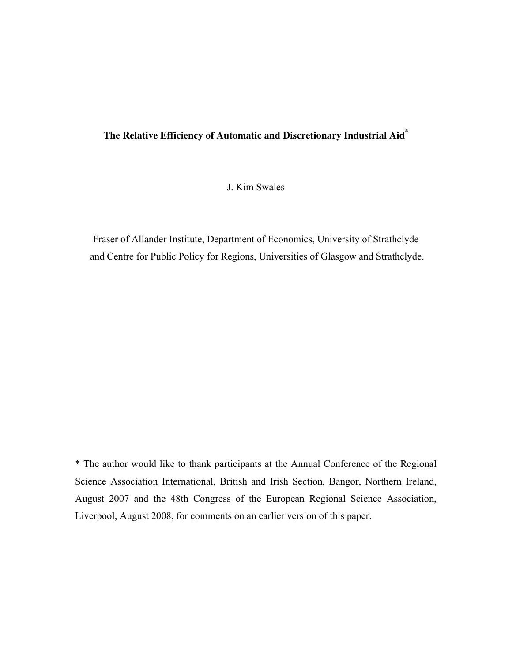# **The Relative Efficiency of Automatic and Discretionary Industrial Aid\***

J. Kim Swales

Fraser of Allander Institute, Department of Economics, University of Strathclyde and Centre for Public Policy for Regions, Universities of Glasgow and Strathclyde.

\* The author would like to thank participants at the Annual Conference of the Regional Science Association International, British and Irish Section, Bangor, Northern Ireland, August 2007 and the 48th Congress of the European Regional Science Association, Liverpool, August 2008, for comments on an earlier version of this paper.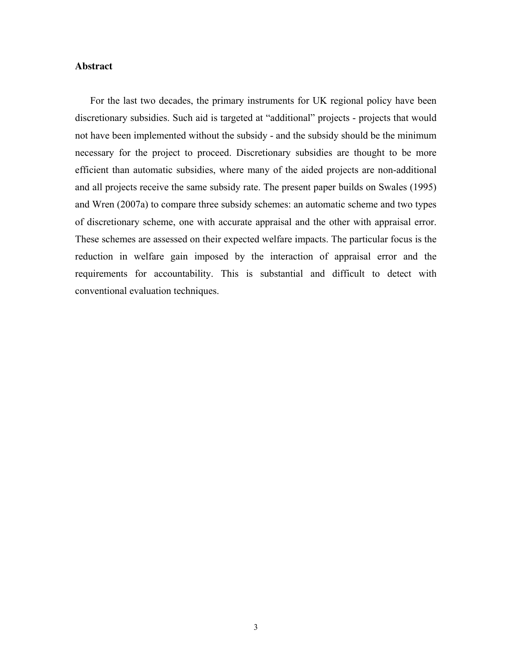### **Abstract**

For the last two decades, the primary instruments for UK regional policy have been discretionary subsidies. Such aid is targeted at "additional" projects - projects that would not have been implemented without the subsidy - and the subsidy should be the minimum necessary for the project to proceed. Discretionary subsidies are thought to be more efficient than automatic subsidies, where many of the aided projects are non-additional and all projects receive the same subsidy rate. The present paper builds on Swales (1995) and Wren (2007a) to compare three subsidy schemes: an automatic scheme and two types of discretionary scheme, one with accurate appraisal and the other with appraisal error. These schemes are assessed on their expected welfare impacts. The particular focus is the reduction in welfare gain imposed by the interaction of appraisal error and the requirements for accountability. This is substantial and difficult to detect with conventional evaluation techniques.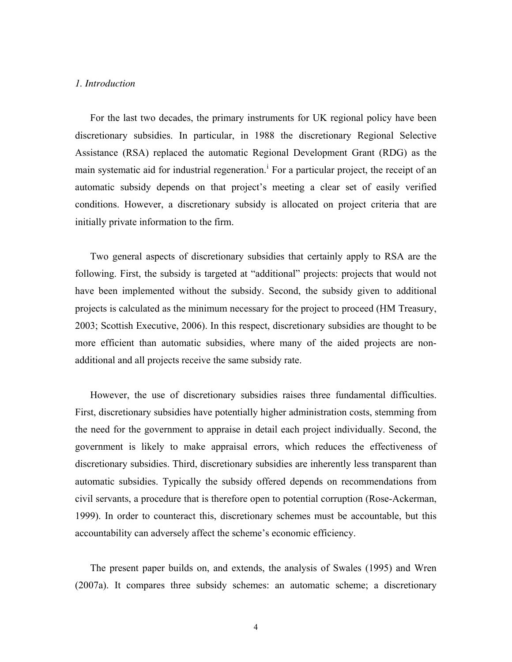### *1. Introduction*

For the last two decades, the primary instruments for UK regional policy have been discretionary subsidies. In particular, in 1988 the discretionary Regional Selective Assistance (RSA) replaced the automatic Regional Development Grant (RDG) as the ma[i](#page-41-0)n systematic aid for industrial regeneration.<sup>1</sup> For a particular project, the receipt of an automatic subsidy depends on that project's meeting a clear set of easily verified conditions. However, a discretionary subsidy is allocated on project criteria that are initially private information to the firm.

Two general aspects of discretionary subsidies that certainly apply to RSA are the following. First, the subsidy is targeted at "additional" projects: projects that would not have been implemented without the subsidy. Second, the subsidy given to additional projects is calculated as the minimum necessary for the project to proceed (HM Treasury, 2003; Scottish Executive, 2006). In this respect, discretionary subsidies are thought to be more efficient than automatic subsidies, where many of the aided projects are nonadditional and all projects receive the same subsidy rate.

However, the use of discretionary subsidies raises three fundamental difficulties. First, discretionary subsidies have potentially higher administration costs, stemming from the need for the government to appraise in detail each project individually. Second, the government is likely to make appraisal errors, which reduces the effectiveness of discretionary subsidies. Third, discretionary subsidies are inherently less transparent than automatic subsidies. Typically the subsidy offered depends on recommendations from civil servants, a procedure that is therefore open to potential corruption (Rose-Ackerman, 1999). In order to counteract this, discretionary schemes must be accountable, but this accountability can adversely affect the scheme's economic efficiency.

The present paper builds on, and extends, the analysis of Swales (1995) and Wren (2007a). It compares three subsidy schemes: an automatic scheme; a discretionary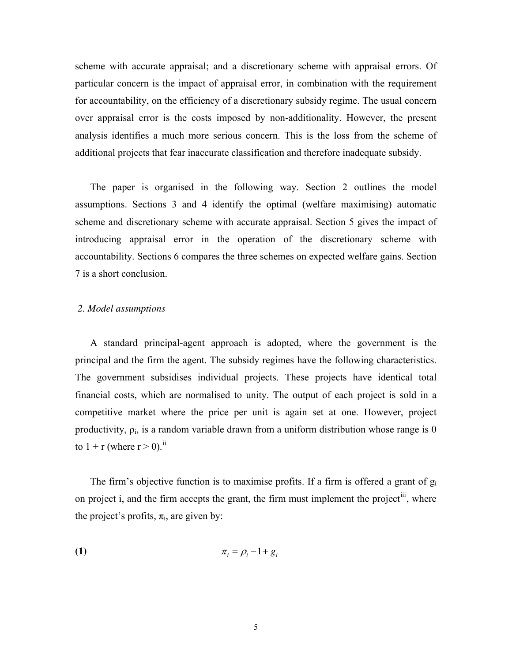scheme with accurate appraisal; and a discretionary scheme with appraisal errors. Of particular concern is the impact of appraisal error, in combination with the requirement for accountability, on the efficiency of a discretionary subsidy regime. The usual concern over appraisal error is the costs imposed by non-additionality. However, the present analysis identifies a much more serious concern. This is the loss from the scheme of additional projects that fear inaccurate classification and therefore inadequate subsidy.

The paper is organised in the following way. Section 2 outlines the model assumptions. Sections 3 and 4 identify the optimal (welfare maximising) automatic scheme and discretionary scheme with accurate appraisal. Section 5 gives the impact of introducing appraisal error in the operation of the discretionary scheme with accountability. Sections 6 compares the three schemes on expected welfare gains. Section 7 is a short conclusion.

### *2. Model assumptions*

A standard principal-agent approach is adopted, where the government is the principal and the firm the agent. The subsidy regimes have the following characteristics. The government subsidises individual projects. These projects have identical total financial costs, which are normalised to unity. The output of each project is sold in a competitive market where the price per unit is again set at one. However, project productivity,  $\rho_i$ , is a random variable drawn from a uniform distribution whose range is 0 to  $1 + r$  (where  $r > 0$ ).<sup>[ii](#page-41-1)</sup>

The firm's objective function is to maximise profits. If a firm is offered a grant of  $g_i$ on project i, and the firm accepts the grant, the firm must implement the project<sup>[iii](#page-41-1)</sup>, where the project's profits,  $\pi_i$ , are given by:

$$
\pi_i = \rho_i - 1 + g_i
$$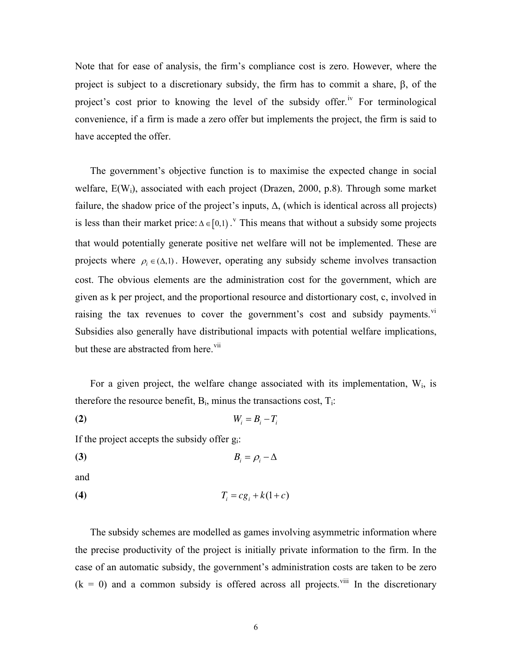Note that for ease of analysis, the firm's compliance cost is zero. However, where the project is subject to a discretionary subsidy, the firm has to commit a share, β, of the project's cost prior to knowing the level of the subsidy offer.<sup>[iv](#page-41-1)</sup> For terminological convenience, if a firm is made a zero offer but implements the project, the firm is said to have accepted the offer.

The government's objective function is to maximise the expected change in social welfare, E(W<sub>i</sub>), associated with each project (Drazen, 2000, p.8). Through some market failure, the shadow price of the project's inputs,  $\Delta$ , (which is identical across all projects) is less than their market price:  $\Delta \in [0,1)$ . This means that without a subsidy some projects that would potentially generate positive net welfare will not be implemented. These are projects where  $\rho_i \in (\Delta, 1)$ . However, operating any subsidy scheme involves transaction cost. The obvious elements are the administration cost for the government, which are given as k per project, and the proportional resource and distortionary cost, c, involved in raising the tax revenues to cover the government's cost and subsidy payments.<sup>[vi](#page-41-1)</sup> Subsidies also generally have distributional impacts with potential welfare implications, but these are abstracted from here.<sup>vii</sup>

For a given project, the welfare change associated with its implementation,  $W_i$ , is therefore the resource benefit,  $B_i$ , minus the transactions cost,  $T_i$ :

*i i*<sub>*i*</sub>  $= B_i - T_i$ 

If the project accepts the subsidy offer  $g_i$ :

**(3)**  $B_i = \rho_i - \Delta$ 

and

**(4)**  $T_i = cg_i + k(1+c)$ 

The subsidy schemes are modelled as games involving asymmetric information where the precise productivity of the project is initially private information to the firm. In the case of an automatic subsidy, the government's administration costs are taken to be zero  $(k = 0)$  and a common subsidy is offered across all projects.<sup>[viii](#page-42-0)</sup> In the discretionary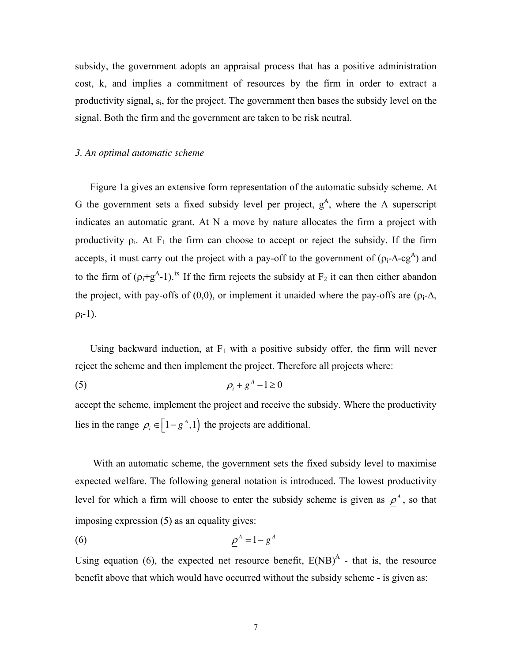subsidy, the government adopts an appraisal process that has a positive administration cost, k, and implies a commitment of resources by the firm in order to extract a productivity signal, si, for the project. The government then bases the subsidy level on the signal. Both the firm and the government are taken to be risk neutral.

### *3. An optimal automatic scheme*

Figure 1a gives an extensive form representation of the automatic subsidy scheme. At G the government sets a fixed subsidy level per project,  $g<sup>A</sup>$ , where the A superscript indicates an automatic grant. At N a move by nature allocates the firm a project with productivity  $\rho_i$ . At F<sub>1</sub> the firm can choose to accept or reject the subsidy. If the firm accepts, it must carry out the project with a pay-off to the government of  $(\rho_i$ - $\Delta$ -cg<sup>A</sup>) and to the firm of  $(\rho_i + g^A - 1)$ .<sup>[ix](#page-42-0)</sup> If the firm rejects the subsidy at  $F_2$  it can then either abandon the project, with pay-offs of (0,0), or implement it unaided where the pay-offs are ( $\rho_i$ - $\Delta$ ,  $\rho_i-1$ ).

Using backward induction, at  $F_1$  with a positive subsidy offer, the firm will never reject the scheme and then implement the project. Therefore all projects where:

$$
\rho_i + g^A - 1 \ge 0
$$

accept the scheme, implement the project and receive the subsidy. Where the productivity lies in the range  $\rho_i \in \left[1 - g^A, 1\right]$  the projects are additional.

With an automatic scheme, the government sets the fixed subsidy level to maximise expected welfare. The following general notation is introduced. The lowest productivity level for which a firm will choose to enter the subsidy scheme is given as  $\rho^A$ , so that imposing expression (5) as an equality gives:

$$
\rho^A = 1 - g^A
$$

Using equation (6), the expected net resource benefit,  $E(NB)^{A}$  - that is, the resource benefit above that which would have occurred without the subsidy scheme - is given as: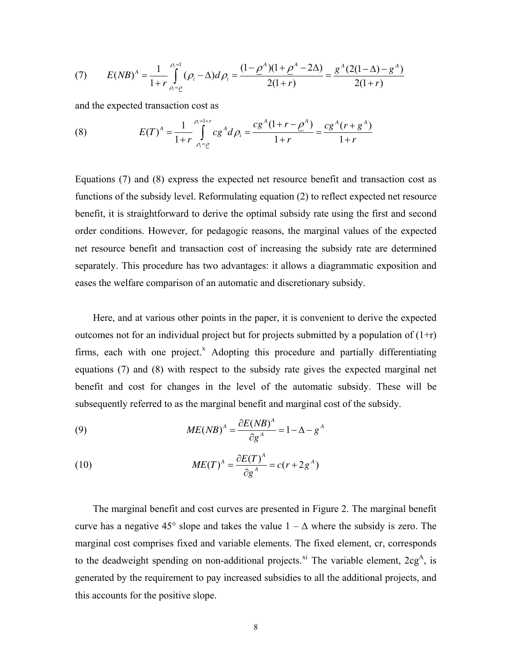(7) 
$$
E(NB)^{A} = \frac{1}{1+r} \int_{\rho_{i}=\rho}^{\rho_{i}=1} (\rho_{i}-\Delta) d\rho_{i} = \frac{(1-\rho^{A})(1+\rho^{A}-2\Delta)}{2(1+r)} = \frac{g^{A}(2(1-\Delta)-g^{A})}{2(1+r)}
$$

and the expected transaction cost as

(8) 
$$
E(T)^{A} = \frac{1}{1+r} \int_{\rho_{i}=\rho}^{\rho_{i}=1+r} c g^{A} d\rho_{i} = \frac{c g^{A} (1+r-\rho^{A})}{1+r} = \frac{c g^{A} (r+g^{A})}{1+r}
$$

Equations (7) and (8) express the expected net resource benefit and transaction cost as functions of the subsidy level. Reformulating equation (2) to reflect expected net resource benefit, it is straightforward to derive the optimal subsidy rate using the first and second order conditions. However, for pedagogic reasons, the marginal values of the expected net resource benefit and transaction cost of increasing the subsidy rate are determined separately. This procedure has two advantages: it allows a diagrammatic exposition and eases the welfare comparison of an automatic and discretionary subsidy.

Here, and at various other points in the paper, it is convenient to derive the expected outcomes not for an individual project but for projects submitted by a population of  $(1+r)$ firms, each with one project. $^x$  $^x$  Adopting this procedure and partially differentiating equations (7) and (8) with respect to the subsidy rate gives the expected marginal net benefit and cost for changes in the level of the automatic subsidy. These will be subsequently referred to as the marginal benefit and marginal cost of the subsidy.

(9) 
$$
ME(NB)^{A} = \frac{\partial E(NB)^{A}}{\partial g^{A}} = 1 - \Delta - g^{A}
$$

(10) 
$$
ME(T)^{A} = \frac{\partial E(T)^{A}}{\partial g^{A}} = c(r + 2g^{A})
$$

The marginal benefit and cost curves are presented in Figure 2. The marginal benefit curve has a negative 45° slope and takes the value  $1 - \Delta$  where the subsidy is zero. The marginal cost comprises fixed and variable elements. The fixed element, cr, corresponds to the deadweight spending on non-additional projects.<sup>[xi](#page-42-0)</sup> The variable element,  $2cg^A$ , is generated by the requirement to pay increased subsidies to all the additional projects, and this accounts for the positive slope.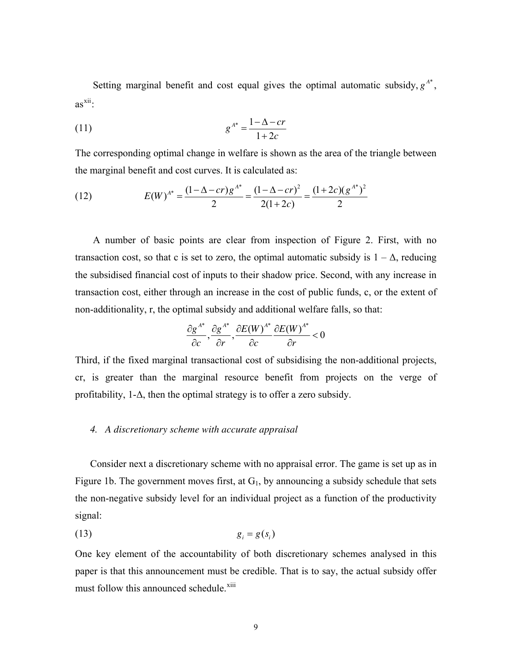Setting marginal benefit and cost equal gives the optimal automatic subsidy,  $g^{A^*}$ ,  $as^{xii}$  $as^{xii}$  $as^{xii}$ :

$$
(11) \t\t\t g^{A^*} = \frac{1 - \Delta - cr}{1 + 2c}
$$

The corresponding optimal change in welfare is shown as the area of the triangle between the marginal benefit and cost curves. It is calculated as:

(12) 
$$
E(W)^{A^*} = \frac{(1 - \Delta - cr)g^{A^*}}{2} = \frac{(1 - \Delta - cr)^2}{2(1 + 2c)} = \frac{(1 + 2c)(g^{A^*})^2}{2}
$$

A number of basic points are clear from inspection of Figure 2. First, with no transaction cost, so that c is set to zero, the optimal automatic subsidy is  $1 - \Delta$ , reducing the subsidised financial cost of inputs to their shadow price. Second, with any increase in transaction cost, either through an increase in the cost of public funds, c, or the extent of non-additionality, r, the optimal subsidy and additional welfare falls, so that:

$$
\frac{\partial g^{A^*}}{\partial c}, \frac{\partial g^{A^*}}{\partial r}, \frac{\partial E(W)^{A^*}}{\partial c} \frac{\partial E(W)^{A^*}}{\partial r} < 0
$$

Third, if the fixed marginal transactional cost of subsidising the non-additional projects, cr, is greater than the marginal resource benefit from projects on the verge of profitability,  $1-\Delta$ , then the optimal strategy is to offer a zero subsidy.

### *4. A discretionary scheme with accurate appraisal*

Consider next a discretionary scheme with no appraisal error. The game is set up as in Figure 1b. The government moves first, at  $G_1$ , by announcing a subsidy schedule that sets the non-negative subsidy level for an individual project as a function of the productivity signal:

$$
(13) \t\t\t g_i = g(s_i)
$$

One key element of the accountability of both discretionary schemes analysed in this paper is that this announcement must be credible. That is to say, the actual subsidy offer must follow this announced schedule.<sup>[xiii](#page-43-0)</sup>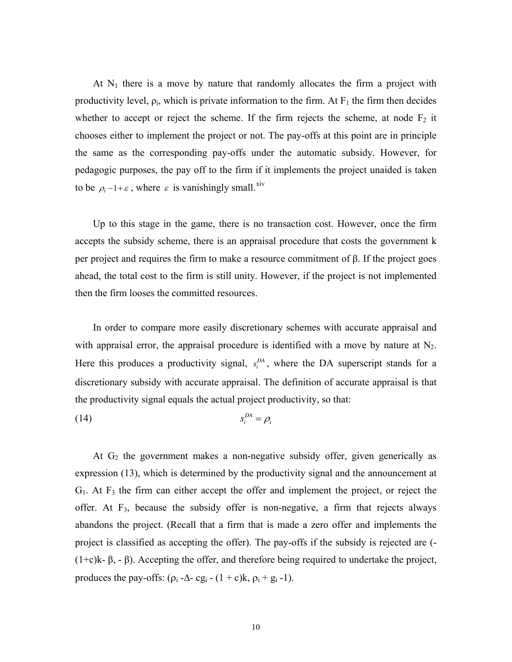At  $N_1$  there is a move by nature that randomly allocates the firm a project with productivity level,  $\rho_i$ , which is private information to the firm. At  $F_1$  the firm then decides whether to accept or reject the scheme. If the firm rejects the scheme, at node  $F_2$  it chooses either to implement the project or not. The pay-offs at this point are in principle the same as the corresponding pay-offs under the automatic subsidy. However, for pedagogic purposes, the pay off to the firm if it implements the project unaided is taken to be  $\rho_i - 1 + \varepsilon$ , where  $\varepsilon$  is vanishingly small.<sup>[xiv](#page-43-0)</sup>

Up to this stage in the game, there is no transaction cost. However, once the firm accepts the subsidy scheme, there is an appraisal procedure that costs the government k per project and requires the firm to make a resource commitment of  $\beta$ . If the project goes ahead, the total cost to the firm is still unity. However, if the project is not implemented then the firm looses the committed resources.

In order to compare more easily discretionary schemes with accurate appraisal and with appraisal error, the appraisal procedure is identified with a move by nature at  $N_2$ . Here this produces a productivity signal,  $s_i^{DA}$ , where the DA superscript stands for a discretionary subsidy with accurate appraisal. The definition of accurate appraisal is that the productivity signal equals the actual project productivity, so that:

$$
(14) \t\t s_i^{DA} = \rho_i
$$

At  $G_2$  the government makes a non-negative subsidy offer, given generically as expression (13), which is determined by the productivity signal and the announcement at  $G_1$ . At  $F_3$  the firm can either accept the offer and implement the project, or reject the offer. At F3, because the subsidy offer is non-negative, a firm that rejects always abandons the project. (Recall that a firm that is made a zero offer and implements the project is classified as accepting the offer). The pay-offs if the subsidy is rejected are (-  $(1+c)$ k-  $\beta$ , -  $\beta$ ). Accepting the offer, and therefore being required to undertake the project, produces the pay-offs:  $(\rho_i - \Delta - cg_i - (1 + c)k, \rho_i + g_i - 1)$ .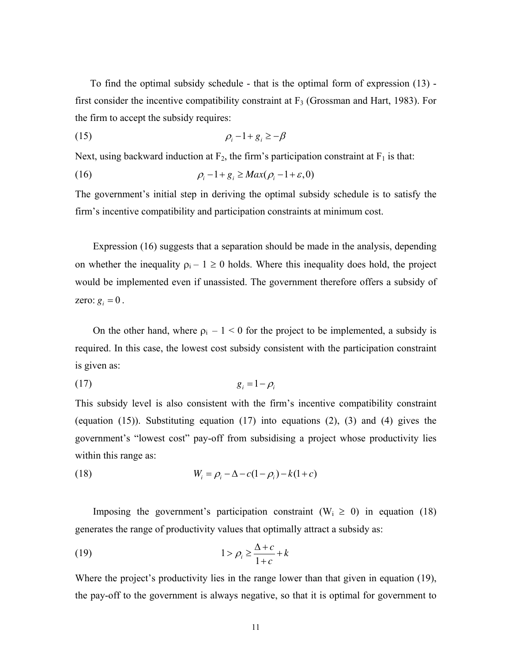To find the optimal subsidy schedule - that is the optimal form of expression (13) first consider the incentive compatibility constraint at  $F_3$  (Grossman and Hart, 1983). For the firm to accept the subsidy requires:

$$
\rho_i - 1 + g_i \ge -\beta
$$

Next, using backward induction at  $F_2$ , the firm's participation constraint at  $F_1$  is that:

$$
\rho_i - 1 + g_i \ge Max(\rho_i - 1 + \varepsilon, 0)
$$

The government's initial step in deriving the optimal subsidy schedule is to satisfy the firm's incentive compatibility and participation constraints at minimum cost.

Expression (16) suggests that a separation should be made in the analysis, depending on whether the inequality  $p_i - 1 \ge 0$  holds. Where this inequality does hold, the project would be implemented even if unassisted. The government therefore offers a subsidy of zero:  $g_i = 0$ .

On the other hand, where  $\rho_i - 1 < 0$  for the project to be implemented, a subsidy is required. In this case, the lowest cost subsidy consistent with the participation constraint is given as:

$$
(17) \t\t\t g_i = 1 - \rho_i
$$

This subsidy level is also consistent with the firm's incentive compatibility constraint (equation (15)). Substituting equation (17) into equations (2), (3) and (4) gives the government's "lowest cost" pay-off from subsidising a project whose productivity lies within this range as:

(18) 
$$
W_i = \rho_i - \Delta - c(1 - \rho_i) - k(1 + c)
$$

Imposing the government's participation constraint  $(W_i \ge 0)$  in equation (18) generates the range of productivity values that optimally attract a subsidy as:

$$
(19) \t\t\t 1 > \rho_i \ge \frac{\Delta + c}{1 + c} + k
$$

Where the project's productivity lies in the range lower than that given in equation (19), the pay-off to the government is always negative, so that it is optimal for government to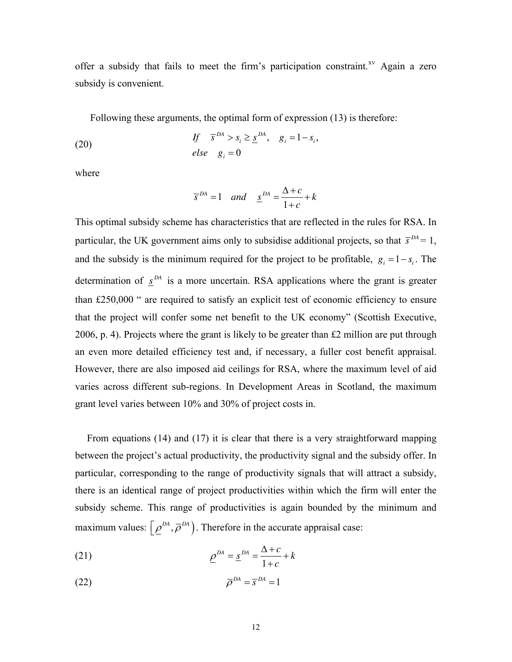offer a subsidy that fails to meet the firm's participation constraint.<sup>[xv](#page-43-0)</sup> Again a zero subsidy is convenient.

Following these arguments, the optimal form of expression (13) is therefore:

(20) 
$$
\begin{aligned}\n\text{If} \quad & \bar{s}^{DA} > s_i \geq \underline{s}^{DA}, \quad g_i = 1 - s_i, \\
\text{else} \quad & g_i = 0\n\end{aligned}
$$

where

$$
\overline{s}^{DA} = 1 \quad and \quad \underline{s}^{DA} = \frac{\Delta + c}{1 + c} + k
$$

This optimal subsidy scheme has characteristics that are reflected in the rules for RSA. In particular, the UK government aims only to subsidise additional projects, so that  $\bar{s}^{DA} = 1$ , and the subsidy is the minimum required for the project to be profitable,  $g_i = 1 - s_i$ . The determination of  $\mathbf{s}^{DA}$  is a more uncertain. RSA applications where the grant is greater than  $£250,000$   $\degree$  are required to satisfy an explicit test of economic efficiency to ensure that the project will confer some net benefit to the UK economy" (Scottish Executive, 2006, p. 4). Projects where the grant is likely to be greater than £2 million are put through an even more detailed efficiency test and, if necessary, a fuller cost benefit appraisal. However, there are also imposed aid ceilings for RSA, where the maximum level of aid varies across different sub-regions. In Development Areas in Scotland, the maximum grant level varies between 10% and 30% of project costs in.

From equations (14) and (17) it is clear that there is a very straightforward mapping between the project's actual productivity, the productivity signal and the subsidy offer. In particular, corresponding to the range of productivity signals that will attract a subsidy, there is an identical range of project productivities within which the firm will enter the subsidy scheme. This range of productivities is again bounded by the minimum and maximum values:  $\left[ \rho^{DA}, \overline{\rho}^{DA} \right)$ . Therefore in the accurate appraisal case:

(21) 
$$
\underline{\rho}^{DA} = \underline{s}^{DA} = \frac{\Delta + c}{1 + c} + k
$$

$$
\overline{\rho}^{DA} = \overline{s}^{DA} = 1
$$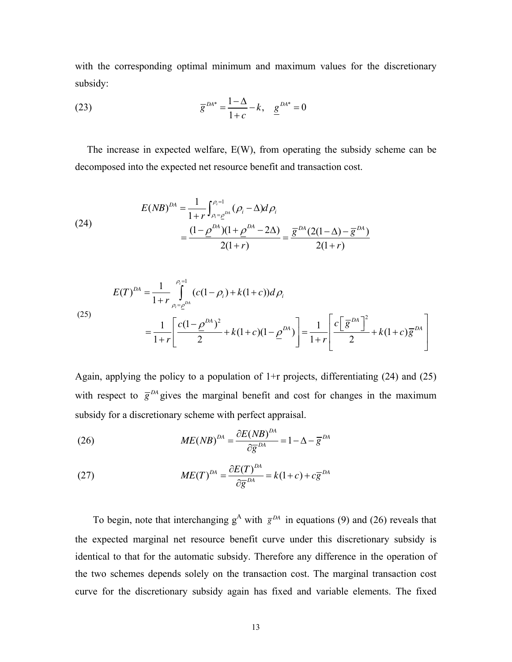with the corresponding optimal minimum and maximum values for the discretionary subsidy:

(23) 
$$
\overline{g}^{DA^*} = \frac{1-\Delta}{1+c} - k, \quad \underline{g}^{DA^*} = 0
$$

The increase in expected welfare, E(W), from operating the subsidy scheme can be decomposed into the expected net resource benefit and transaction cost.

(24)  

$$
E(NB)^{DA} = \frac{1}{1+r} \int_{\rho_i = \rho^{DA}}^{\rho_i = 1} (\rho_i - \Delta) d\rho_i
$$

$$
= \frac{(1-\rho^{DA})(1+\rho^{DA}-2\Delta)}{2(1+r)} = \frac{\overline{g}^{DA}(2(1-\Delta)-\overline{g}^{DA})}{2(1+r)}
$$

(25)  

$$
E(T)^{DA} = \frac{1}{1+r} \int_{\rho_i = \rho^{DA}}^{\rho_i = 1} (c(1-\rho_i) + k(1+c))d\rho_i
$$

$$
= \frac{1}{1+r} \left[ \frac{c(1-\rho^{DA})^2}{2} + k(1+c)(1-\rho^{DA}) \right] = \frac{1}{1+r} \left[ \frac{c(\bar{g}^{DA})^2}{2} + k(1+c)\bar{g}^{DA} \right]
$$

Again, applying the policy to a population of 1+r projects, differentiating (24) and (25) with respect to  $\bar{g}^{DA}$  gives the marginal benefit and cost for changes in the maximum subsidy for a discretionary scheme with perfect appraisal.

(26) 
$$
ME(NB)^{DA} = \frac{\partial E(NB)^{DA}}{\partial \overline{g}^{DA}} = 1 - \Delta - \overline{g}^{DA}
$$

(27) 
$$
ME(T)^{DA} = \frac{\partial E(T)^{DA}}{\partial \overline{g}^{DA}} = k(1+c) + c\overline{g}^{DA}
$$

To begin, note that interchanging  $g^A$  with  $\bar{g}^{DA}$  in equations (9) and (26) reveals that the expected marginal net resource benefit curve under this discretionary subsidy is identical to that for the automatic subsidy. Therefore any difference in the operation of the two schemes depends solely on the transaction cost. The marginal transaction cost curve for the discretionary subsidy again has fixed and variable elements. The fixed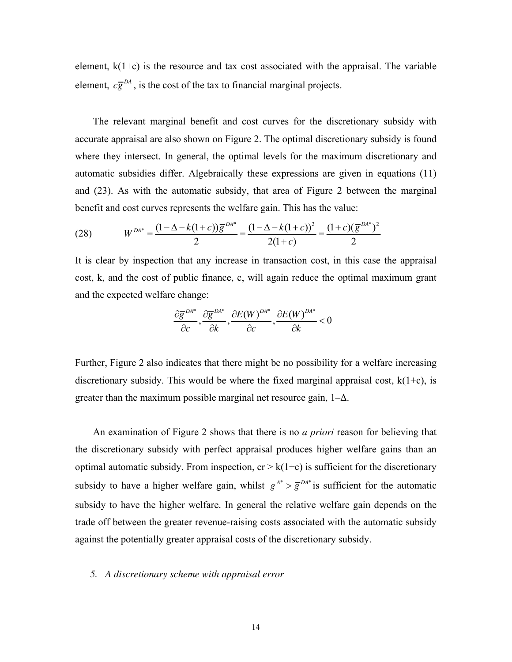element,  $k(1+c)$  is the resource and tax cost associated with the appraisal. The variable element,  $c\overline{g}^{DA}$ , is the cost of the tax to financial marginal projects.

The relevant marginal benefit and cost curves for the discretionary subsidy with accurate appraisal are also shown on Figure 2. The optimal discretionary subsidy is found where they intersect. In general, the optimal levels for the maximum discretionary and automatic subsidies differ. Algebraically these expressions are given in equations (11) and (23). As with the automatic subsidy, that area of Figure 2 between the marginal benefit and cost curves represents the welfare gain. This has the value:

(28) 
$$
W^{DA^*} = \frac{(1 - \Delta - k(1 + c))\overline{g}^{DA^*}}{2} = \frac{(1 - \Delta - k(1 + c))^2}{2(1 + c)} = \frac{(1 + c)(\overline{g}^{DA^*})^2}{2}
$$

It is clear by inspection that any increase in transaction cost, in this case the appraisal cost, k, and the cost of public finance, c, will again reduce the optimal maximum grant and the expected welfare change:

$$
\frac{\partial \overline{g}^{DA^*}}{\partial c}, \frac{\partial \overline{g}^{DA^*}}{\partial k}, \frac{\partial E(W)^{DA^*}}{\partial c}, \frac{\partial E(W)^{DA^*}}{\partial k} < 0
$$

Further, Figure 2 also indicates that there might be no possibility for a welfare increasing discretionary subsidy. This would be where the fixed marginal appraisal cost,  $k(1+c)$ , is greater than the maximum possible marginal net resource gain,  $1-\Delta$ .

An examination of Figure 2 shows that there is no *a priori* reason for believing that the discretionary subsidy with perfect appraisal produces higher welfare gains than an optimal automatic subsidy. From inspection,  $cr > k(1+c)$  is sufficient for the discretionary subsidy to have a higher welfare gain, whilst  $g^{A^*} > \overline{g}^{DA^*}$  is sufficient for the automatic subsidy to have the higher welfare. In general the relative welfare gain depends on the trade off between the greater revenue-raising costs associated with the automatic subsidy against the potentially greater appraisal costs of the discretionary subsidy.

## *5. A discretionary scheme with appraisal error*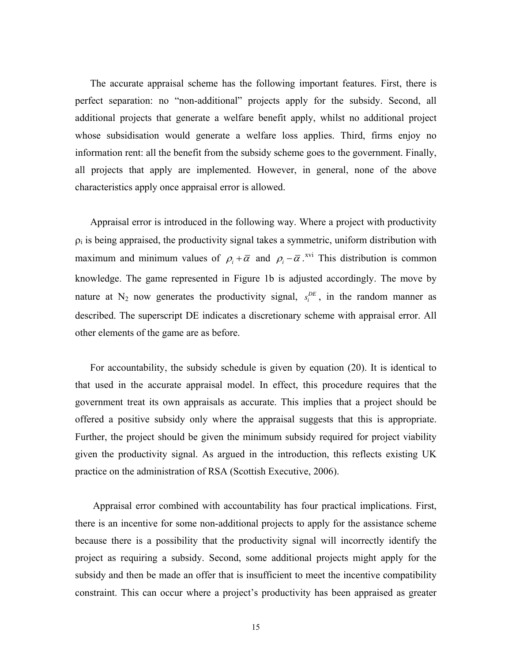The accurate appraisal scheme has the following important features. First, there is perfect separation: no "non-additional" projects apply for the subsidy. Second, all additional projects that generate a welfare benefit apply, whilst no additional project whose subsidisation would generate a welfare loss applies. Third, firms enjoy no information rent: all the benefit from the subsidy scheme goes to the government. Finally, all projects that apply are implemented. However, in general, none of the above characteristics apply once appraisal error is allowed.

Appraisal error is introduced in the following way. Where a project with productivity  $\rho_i$  is being appraised, the productivity signal takes a symmetric, uniform distribution with maximum and minimum values of  $\rho_i + \overline{\alpha}$  and  $\rho_i - \overline{\alpha}$ .<sup>[xvi](#page-43-0)</sup> This distribution is common knowledge. The game represented in Figure 1b is adjusted accordingly. The move by nature at  $N_2$  now generates the productivity signal,  $s_i^{DE}$ , in the random manner as described. The superscript DE indicates a discretionary scheme with appraisal error. All other elements of the game are as before.

For accountability, the subsidy schedule is given by equation (20). It is identical to that used in the accurate appraisal model. In effect, this procedure requires that the government treat its own appraisals as accurate. This implies that a project should be offered a positive subsidy only where the appraisal suggests that this is appropriate. Further, the project should be given the minimum subsidy required for project viability given the productivity signal. As argued in the introduction, this reflects existing UK practice on the administration of RSA (Scottish Executive, 2006).

Appraisal error combined with accountability has four practical implications. First, there is an incentive for some non-additional projects to apply for the assistance scheme because there is a possibility that the productivity signal will incorrectly identify the project as requiring a subsidy. Second, some additional projects might apply for the subsidy and then be made an offer that is insufficient to meet the incentive compatibility constraint. This can occur where a project's productivity has been appraised as greater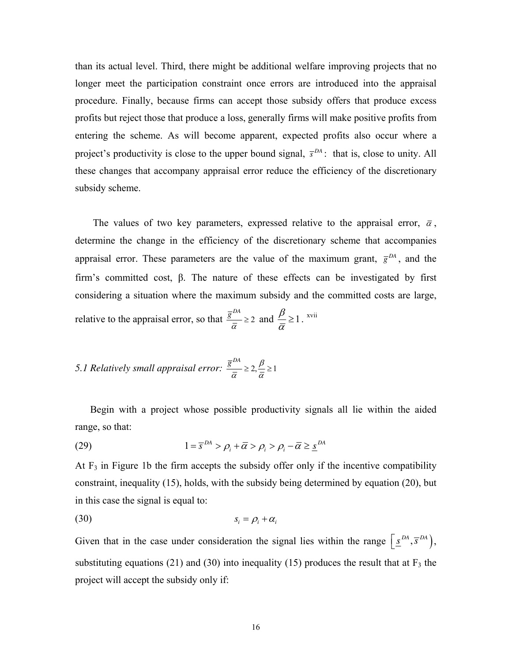than its actual level. Third, there might be additional welfare improving projects that no longer meet the participation constraint once errors are introduced into the appraisal procedure. Finally, because firms can accept those subsidy offers that produce excess profits but reject those that produce a loss, generally firms will make positive profits from entering the scheme. As will become apparent, expected profits also occur where a project's productivity is close to the upper bound signal,  $\bar{s}^{DA}$ : that is, close to unity. All these changes that accompany appraisal error reduce the efficiency of the discretionary subsidy scheme.

The values of two key parameters, expressed relative to the appraisal error,  $\bar{\alpha}$ , determine the change in the efficiency of the discretionary scheme that accompanies appraisal error. These parameters are the value of the maximum grant,  $\bar{g}^{DA}$ , and the firm's committed cost,  $\beta$ . The nature of these effects can be investigated by first considering a situation where the maximum subsidy and the committed costs are large, relative to the appraisal error, so that  $\frac{\bar{g}^{DA}}{2} \geq 2$  $rac{\overline{p}}{\overline{\alpha}} \geq 2$  and  $\frac{\beta}{\overline{\alpha}} \geq 1$  $\frac{\rho}{\overline{\alpha}} \geq 1$ . <sup>[xvii](#page-43-0)</sup>

5.1 Relatively small appraisal error: 
$$
\frac{\overline{g}^{DA}}{\overline{\alpha}} \geq 2, \frac{\beta}{\overline{\alpha}} \geq 1
$$

Begin with a project whose possible productivity signals all lie within the aided range, so that:

(29) 
$$
1 = \overline{s}^{DA} > \rho_i + \overline{\alpha} > \rho_i > \rho_i - \overline{\alpha} \geq \underline{s}^{DA}
$$

At  $F_3$  in Figure 1b the firm accepts the subsidy offer only if the incentive compatibility constraint, inequality (15), holds, with the subsidy being determined by equation (20), but in this case the signal is equal to:

$$
(30) \t\t\t s_i = \rho_i + \alpha_i
$$

Given that in the case under consideration the signal lies within the range  $\left[ \underline{s}^{DA}, \overline{s}^{DA} \right)$ , substituting equations (21) and (30) into inequality (15) produces the result that at  $F_3$  the project will accept the subsidy only if: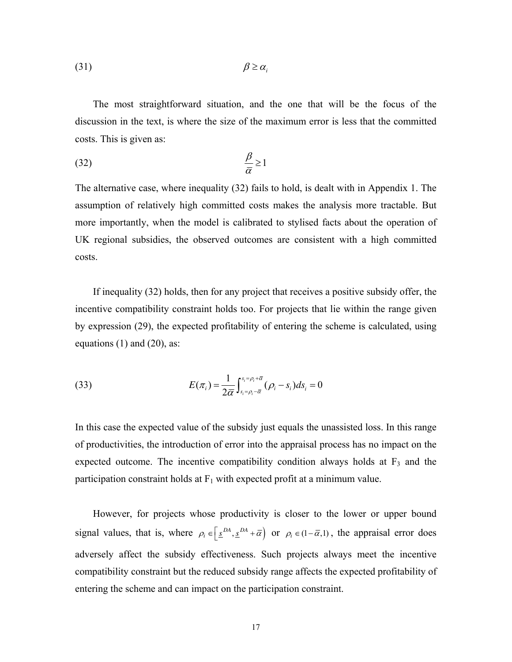(31)  $\beta \geq \alpha_i$ 

The most straightforward situation, and the one that will be the focus of the discussion in the text, is where the size of the maximum error is less that the committed costs. This is given as:

$$
\frac{\beta}{\overline{\alpha}} \ge 1
$$

The alternative case, where inequality (32) fails to hold, is dealt with in Appendix 1. The assumption of relatively high committed costs makes the analysis more tractable. But more importantly, when the model is calibrated to stylised facts about the operation of UK regional subsidies, the observed outcomes are consistent with a high committed costs.

If inequality (32) holds, then for any project that receives a positive subsidy offer, the incentive compatibility constraint holds too. For projects that lie within the range given by expression (29), the expected profitability of entering the scheme is calculated, using equations  $(1)$  and  $(20)$ , as:

(33) 
$$
E(\pi_i) = \frac{1}{2\overline{\alpha}} \int_{s_i = \rho_i - \overline{\alpha}}^{s_i = \rho_i + \overline{\alpha}} (\rho_i - s_i) ds_i = 0
$$

In this case the expected value of the subsidy just equals the unassisted loss. In this range of productivities, the introduction of error into the appraisal process has no impact on the expected outcome. The incentive compatibility condition always holds at  $F_3$  and the participation constraint holds at  $F_1$  with expected profit at a minimum value.

However, for projects whose productivity is closer to the lower or upper bound signal values, that is, where  $\rho_i \in \left[\frac{s^{DA}}{A}, \frac{s^{DA} + \overline{\alpha}}{B}\right]$  or  $\rho_i \in (1 - \overline{\alpha}, 1)$ , the appraisal error does adversely affect the subsidy effectiveness. Such projects always meet the incentive compatibility constraint but the reduced subsidy range affects the expected profitability of entering the scheme and can impact on the participation constraint.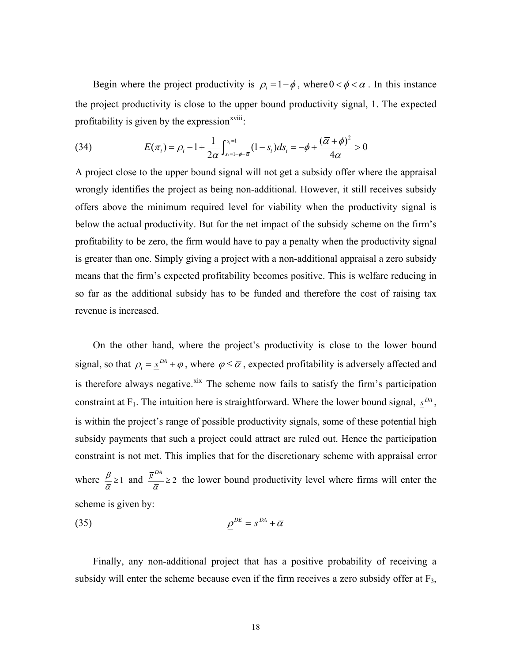Begin where the project productivity is  $\rho_i = 1 - \phi$ , where  $0 < \phi < \overline{\alpha}$ . In this instance the project productivity is close to the upper bound productivity signal, 1. The expected profitability is given by the expression $x$ <sup>viii</sup>:

(34) 
$$
E(\pi_i) = \rho_i - 1 + \frac{1}{2\bar{\alpha}} \int_{s_i=1-\phi-\bar{\alpha}}^{s_i=1} (1-s_i) ds_i = -\phi + \frac{(\bar{\alpha}+\phi)^2}{4\bar{\alpha}} > 0
$$

A project close to the upper bound signal will not get a subsidy offer where the appraisal wrongly identifies the project as being non-additional. However, it still receives subsidy offers above the minimum required level for viability when the productivity signal is below the actual productivity. But for the net impact of the subsidy scheme on the firm's profitability to be zero, the firm would have to pay a penalty when the productivity signal is greater than one. Simply giving a project with a non-additional appraisal a zero subsidy means that the firm's expected profitability becomes positive. This is welfare reducing in so far as the additional subsidy has to be funded and therefore the cost of raising tax revenue is increased.

On the other hand, where the project's productivity is close to the lower bound signal, so that  $\rho_i = \frac{s^{DA} + \varphi}{}$ , where  $\varphi \leq \overline{\alpha}$ , expected profitability is adversely affected and is therefore always negative.<sup>[xix](#page-43-0)</sup> The scheme now fails to satisfy the firm's participation constraint at F<sub>1</sub>. The intuition here is straightforward. Where the lower bound signal,  $\underline{s}^{DA}$ , is within the project's range of possible productivity signals, some of these potential high subsidy payments that such a project could attract are ruled out. Hence the participation constraint is not met. This implies that for the discretionary scheme with appraisal error where  $\frac{\beta}{2} \geq 1$  $\frac{\beta}{\overline{\alpha}} \ge 1$  and  $\frac{\overline{g}^{DA}}{\overline{\alpha}} \ge 2$  $\frac{1}{\overline{\alpha}} \geq 2$  the lower bound productivity level where firms will enter the scheme is given by:

$$
\underline{\rho}^{DE} = \underline{s}^{DA} + \overline{\alpha}
$$

Finally, any non-additional project that has a positive probability of receiving a subsidy will enter the scheme because even if the firm receives a zero subsidy offer at  $F_3$ ,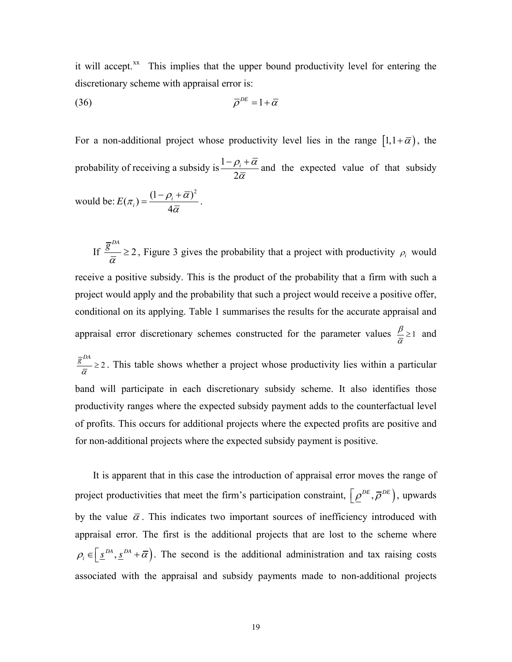it will accept. $\frac{xx}{x}$  $\frac{xx}{x}$  $\frac{xx}{x}$  This implies that the upper bound productivity level for entering the discretionary scheme with appraisal error is:

$$
\overline{\rho}^{DE} = 1 + \overline{\alpha}
$$

For a non-additional project whose productivity level lies in the range  $[1,1+\bar{\alpha})$ , the probability of receiving a subsidy is  $\frac{1}{1}$ 2  $\rho$ <sub>*i*</sub> +  $\alpha$ α  $-\rho_i +$ and the expected value of that subsidy

would be: 
$$
E(\pi_i) = \frac{(1 - \rho_i + \overline{\alpha})^2}{4\overline{\alpha}}
$$
.

If  $\frac{6}{1} \geq 2$  $\overline{g}^{DA}$  $\frac{a}{\overline{\alpha}} \ge 2$ , Figure 3 gives the probability that a project with productivity  $\rho_i$  would receive a positive subsidy. This is the product of the probability that a firm with such a project would apply and the probability that such a project would receive a positive offer, conditional on its applying. Table 1 summarises the results for the accurate appraisal and appraisal error discretionary schemes constructed for the parameter values  $\frac{\beta}{\alpha} \geq 1$  $\frac{\rho}{\overline{\alpha}} \geq 1$  and 2 *DA g*  $\frac{1}{\overline{\alpha}} \geq 2$ . This table shows whether a project whose productivity lies within a particular band will participate in each discretionary subsidy scheme. It also identifies those productivity ranges where the expected subsidy payment adds to the counterfactual level of profits. This occurs for additional projects where the expected profits are positive and for non-additional projects where the expected subsidy payment is positive.

It is apparent that in this case the introduction of appraisal error moves the range of project productivities that meet the firm's participation constraint,  $\left[ \rho^{DE}, \overline{\rho}^{DE} \right]$ , upwards by the value  $\bar{\alpha}$ . This indicates two important sources of inefficiency introduced with appraisal error. The first is the additional projects that are lost to the scheme where  $\rho_i \in \left[ \underline{s}^{DA}, \underline{s}^{DA} + \overline{\alpha} \right]$ . The second is the additional administration and tax raising costs associated with the appraisal and subsidy payments made to non-additional projects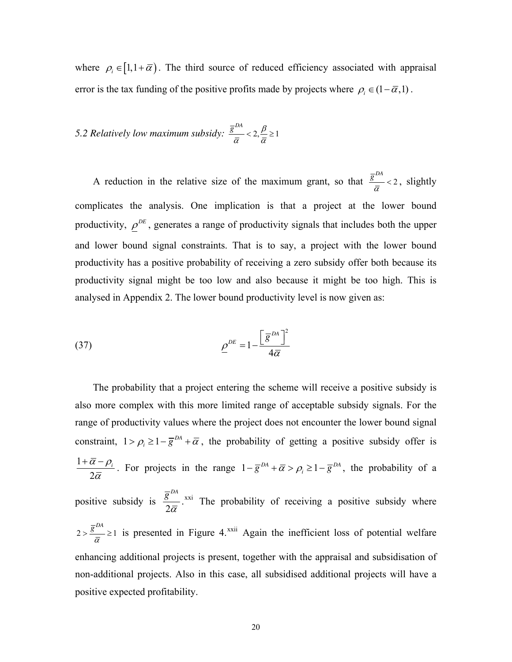where  $\rho_i \in [1, 1 + \overline{\alpha})$ . The third source of reduced efficiency associated with appraisal error is the tax funding of the positive profits made by projects where  $\rho_i \in (1 - \overline{\alpha}, 1)$ .

5.2 Relatively low maximum subsidy: 
$$
\frac{\overline{g}^{DA}}{\overline{\alpha}} < 2, \frac{\beta}{\overline{\alpha}} \ge 1
$$

A reduction in the relative size of the maximum grant, so that  $\frac{\bar{g}^{DA}}{2} < 2$  $\frac{1}{\overline{\alpha}}$  < 2, slightly complicates the analysis. One implication is that a project at the lower bound productivity,  $\rho^{DE}$ , generates a range of productivity signals that includes both the upper and lower bound signal constraints. That is to say, a project with the lower bound productivity has a positive probability of receiving a zero subsidy offer both because its productivity signal might be too low and also because it might be too high. This is analysed in Appendix 2. The lower bound productivity level is now given as:

(37) 
$$
\underline{\rho}^{DE} = 1 - \frac{\left[\overline{g}^{DA}\right]^2}{4\overline{\alpha}}
$$

The probability that a project entering the scheme will receive a positive subsidy is also more complex with this more limited range of acceptable subsidy signals. For the range of productivity values where the project does not encounter the lower bound signal constraint,  $1 > \rho_i \ge 1 - \overline{g}^{DA} + \overline{\alpha}$ , the probability of getting a positive subsidy offer is 1 2  $\alpha-\rho_{_i}$  $+\overline{\alpha}-\rho_i$ . For projects in the range  $1-\overline{g}^{DA}+\overline{\alpha}>\rho_i\geq 1-\overline{g}^{DA}$ , the probability of a positive subsidy is 2  $\overline{g}^{DA}$  $\overline{\overline{\alpha}}^{xxi}$  $\overline{\overline{\alpha}}^{xxi}$  $\overline{\overline{\alpha}}^{xxi}$  The probability of receiving a positive subsidy where 2  $\bar{g}^{DA}$  $\frac{g^{2}}{a} \ge 1$  is presented in Figure 4.<sup>[xxii](#page-44-0)</sup> Again the inefficient loss of potential welfare enhancing additional projects is present, together with the appraisal and subsidisation of non-additional projects. Also in this case, all subsidised additional projects will have a positive expected profitability.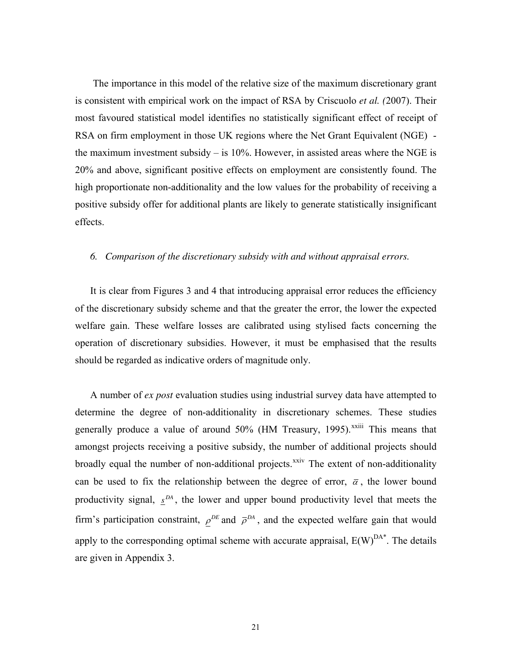The importance in this model of the relative size of the maximum discretionary grant is consistent with empirical work on the impact of RSA by Criscuolo *et al. (*2007). Their most favoured statistical model identifies no statistically significant effect of receipt of RSA on firm employment in those UK regions where the Net Grant Equivalent (NGE) the maximum investment subsidy  $-$  is 10%. However, in assisted areas where the NGE is 20% and above, significant positive effects on employment are consistently found. The high proportionate non-additionality and the low values for the probability of receiving a positive subsidy offer for additional plants are likely to generate statistically insignificant effects.

## *6. Comparison of the discretionary subsidy with and without appraisal errors.*

It is clear from Figures 3 and 4 that introducing appraisal error reduces the efficiency of the discretionary subsidy scheme and that the greater the error, the lower the expected welfare gain. These welfare losses are calibrated using stylised facts concerning the operation of discretionary subsidies. However, it must be emphasised that the results should be regarded as indicative orders of magnitude only.

A number of *ex post* evaluation studies using industrial survey data have attempted to determine the degree of non-additionality in discretionary schemes. These studies generally produce a value of around  $50\%$  (HM Treasury, 1995).<sup> $xxiiii$  $xxiiii$ </sup> This means that amongst projects receiving a positive subsidy, the number of additional projects should broadly equal the number of non-additional projects.<sup>[xxiv](#page-44-0)</sup> The extent of non-additionality can be used to fix the relationship between the degree of error,  $\bar{\alpha}$ , the lower bound productivity signal,  $\mathbf{S}^{DA}$ , the lower and upper bound productivity level that meets the firm's participation constraint,  $\rho^{DE}$  and  $\bar{\rho}^{DA}$ , and the expected welfare gain that would apply to the corresponding optimal scheme with accurate appraisal,  $E(W)^{DA*}$ . The details are given in Appendix 3.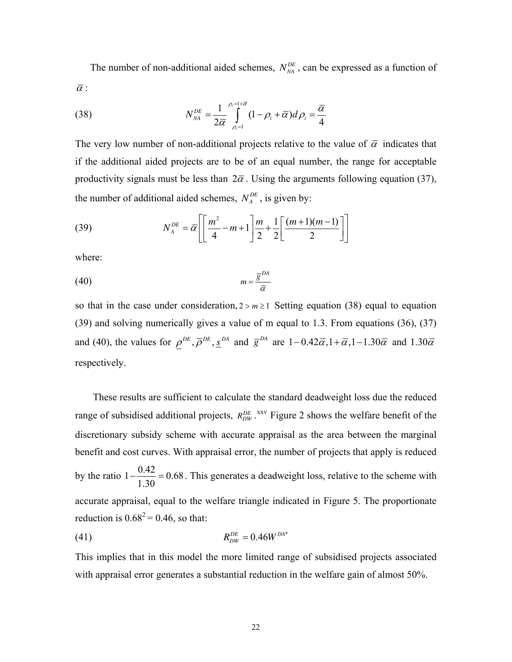The number of non-additional aided schemes,  $N_{NA}^{DE}$ , can be expressed as a function of  $\bar{\alpha}$ :

(38) 
$$
N_{\scriptscriptstyle NA}^{\scriptscriptstyle DE} = \frac{1}{2\overline{\alpha}} \int\limits_{\rho_i=1}^{\rho_i=1+\overline{\alpha}} (1-\rho_i+\overline{\alpha}) d\rho_i = \frac{\overline{\alpha}}{4}
$$

The very low number of non-additional projects relative to the value of  $\bar{\alpha}$  indicates that if the additional aided projects are to be of an equal number, the range for acceptable productivity signals must be less than  $2\bar{\alpha}$ . Using the arguments following equation (37), the number of additional aided schemes,  $N_A^{DE}$ , is given by:

(39) 
$$
N_A^{DE} = \overline{\alpha} \left[ \left[ \frac{m^2}{4} - m + 1 \right] \frac{m}{2} + \frac{1}{2} \left[ \frac{(m+1)(m-1)}{2} \right] \right]
$$

where:

$$
(40) \t\t\t m = \frac{\overline{g}^{DA}}{\overline{\alpha}}
$$

so that in the case under consideration,  $2 > m \ge 1$  Setting equation (38) equal to equation (39) and solving numerically gives a value of m equal to 1.3. From equations (36), (37) and (40), the values for  $\rho^{DE}$ ,  $\overline{\rho}^{DE}$ ,  $\underline{s}^{DA}$  and  $\overline{g}^{DA}$  are  $1-0.42\overline{\alpha}$ ,  $1+\overline{\alpha}$ ,  $1-1.30\overline{\alpha}$  and  $1.30\overline{\alpha}$ respectively.

These results are sufficient to calculate the standard deadweight loss due the reduced range of subsidised additional projects,  $R_{DW}^{DE}$ . <sup>XXV</sup> Figure 2 shows the welfare benefit of the discretionary subsidy scheme with accurate appraisal as the area between the marginal benefit and cost curves. With appraisal error, the number of projects that apply is reduced by the ratio  $1 - \frac{0.42}{1.38} = 0$ . 1.30  $-\frac{6.42}{1.38}$  = 0.68. This generates a deadweight loss, relative to the scheme with accurate appraisal, equal to the welfare triangle indicated in Figure 5. The proportionate reduction is  $0.68^2 = 0.46$ , so that:

(41) 
$$
R_{DW}^{DE} = 0.46W^{DA*}
$$

This implies that in this model the more limited range of subsidised projects associated with appraisal error generates a substantial reduction in the welfare gain of almost 50%.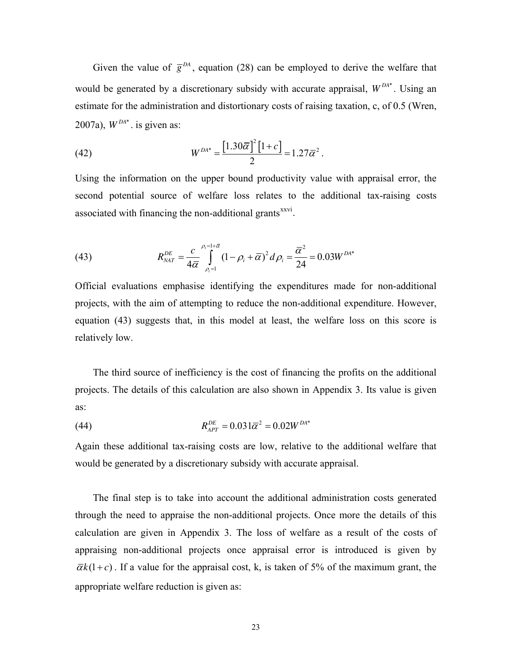Given the value of  $\bar{g}^{DA}$ , equation (28) can be employed to derive the welfare that would be generated by a discretionary subsidy with accurate appraisal,  $W^{DA*}$ . Using an estimate for the administration and distortionary costs of raising taxation, c, of 0.5 (Wren, 2007a),  $W^{DA*}$ . is given as:

(42) 
$$
W^{DA*} = \frac{\left[1.30\overline{\alpha}\right]^2 \left[1+c\right]}{2} = 1.27\overline{\alpha}^2.
$$

Using the information on the upper bound productivity value with appraisal error, the second potential source of welfare loss relates to the additional tax-raising costs associated with financing the non-additional grants<sup>[xxvi](#page-45-0)</sup>.

(43) 
$$
R_{\text{NAT}}^{\text{DE}} = \frac{c}{4\bar{\alpha}} \int_{\rho_i=1}^{\rho_i=1+\bar{\alpha}} (1-\rho_i+\bar{\alpha})^2 d\rho_i = \frac{\bar{\alpha}^2}{24} = 0.03 W^{\text{DA*}}
$$

Official evaluations emphasise identifying the expenditures made for non-additional projects, with the aim of attempting to reduce the non-additional expenditure. However, equation (43) suggests that, in this model at least, the welfare loss on this score is relatively low.

The third source of inefficiency is the cost of financing the profits on the additional projects. The details of this calculation are also shown in Appendix 3. Its value is given as:

(44) 
$$
R_{APT}^{DE} = 0.031\overline{\alpha}^2 = 0.02W^{DA*}
$$

Again these additional tax-raising costs are low, relative to the additional welfare that would be generated by a discretionary subsidy with accurate appraisal.

The final step is to take into account the additional administration costs generated through the need to appraise the non-additional projects. Once more the details of this calculation are given in Appendix 3. The loss of welfare as a result of the costs of appraising non-additional projects once appraisal error is introduced is given by  $\overline{\alpha}k(1+c)$ . If a value for the appraisal cost, k, is taken of 5% of the maximum grant, the appropriate welfare reduction is given as: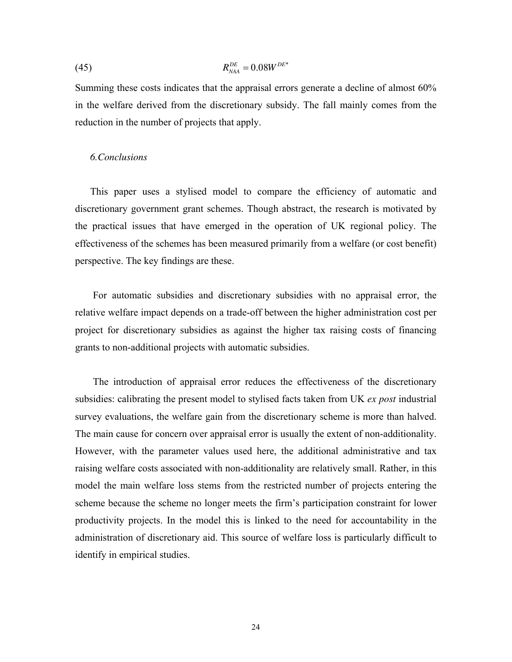(45) 
$$
R_{\text{NAA}}^{DE} = 0.08W^{DE^{*}}
$$

Summing these costs indicates that the appraisal errors generate a decline of almost 60% in the welfare derived from the discretionary subsidy. The fall mainly comes from the reduction in the number of projects that apply.

### *6.Conclusions*

This paper uses a stylised model to compare the efficiency of automatic and discretionary government grant schemes. Though abstract, the research is motivated by the practical issues that have emerged in the operation of UK regional policy. The effectiveness of the schemes has been measured primarily from a welfare (or cost benefit) perspective. The key findings are these.

For automatic subsidies and discretionary subsidies with no appraisal error, the relative welfare impact depends on a trade-off between the higher administration cost per project for discretionary subsidies as against the higher tax raising costs of financing grants to non-additional projects with automatic subsidies.

The introduction of appraisal error reduces the effectiveness of the discretionary subsidies: calibrating the present model to stylised facts taken from UK *ex post* industrial survey evaluations, the welfare gain from the discretionary scheme is more than halved. The main cause for concern over appraisal error is usually the extent of non-additionality. However, with the parameter values used here, the additional administrative and tax raising welfare costs associated with non-additionality are relatively small. Rather, in this model the main welfare loss stems from the restricted number of projects entering the scheme because the scheme no longer meets the firm's participation constraint for lower productivity projects. In the model this is linked to the need for accountability in the administration of discretionary aid. This source of welfare loss is particularly difficult to identify in empirical studies.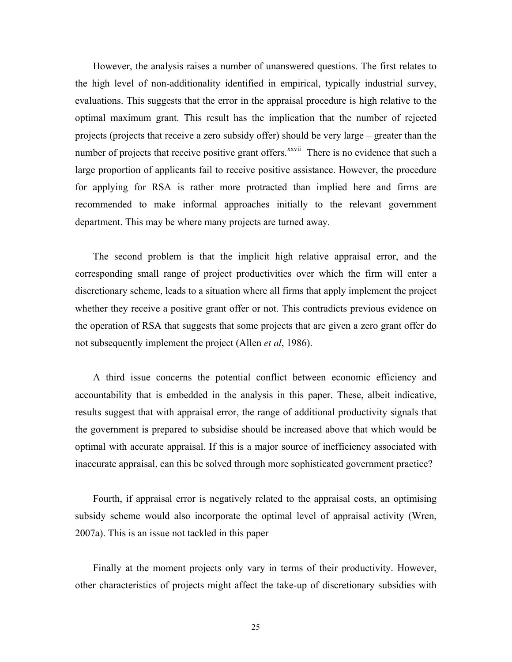However, the analysis raises a number of unanswered questions. The first relates to the high level of non-additionality identified in empirical, typically industrial survey, evaluations. This suggests that the error in the appraisal procedure is high relative to the optimal maximum grant. This result has the implication that the number of rejected projects (projects that receive a zero subsidy offer) should be very large – greater than the number of projects that receive positive grant offers.<sup>[xxvii](#page-45-0)</sup> There is no evidence that such a large proportion of applicants fail to receive positive assistance. However, the procedure for applying for RSA is rather more protracted than implied here and firms are recommended to make informal approaches initially to the relevant government department. This may be where many projects are turned away.

The second problem is that the implicit high relative appraisal error, and the corresponding small range of project productivities over which the firm will enter a discretionary scheme, leads to a situation where all firms that apply implement the project whether they receive a positive grant offer or not. This contradicts previous evidence on the operation of RSA that suggests that some projects that are given a zero grant offer do not subsequently implement the project (Allen *et al*, 1986).

A third issue concerns the potential conflict between economic efficiency and accountability that is embedded in the analysis in this paper. These, albeit indicative, results suggest that with appraisal error, the range of additional productivity signals that the government is prepared to subsidise should be increased above that which would be optimal with accurate appraisal. If this is a major source of inefficiency associated with inaccurate appraisal, can this be solved through more sophisticated government practice?

Fourth, if appraisal error is negatively related to the appraisal costs, an optimising subsidy scheme would also incorporate the optimal level of appraisal activity (Wren, 2007a). This is an issue not tackled in this paper

Finally at the moment projects only vary in terms of their productivity. However, other characteristics of projects might affect the take-up of discretionary subsidies with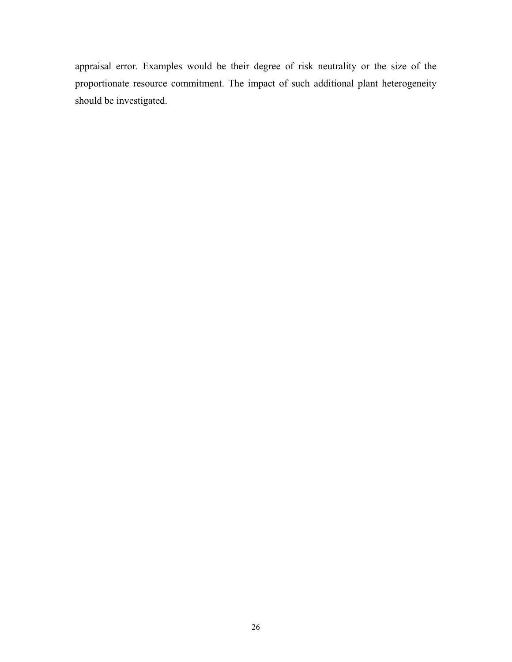appraisal error. Examples would be their degree of risk neutrality or the size of the proportionate resource commitment. The impact of such additional plant heterogeneity should be investigated.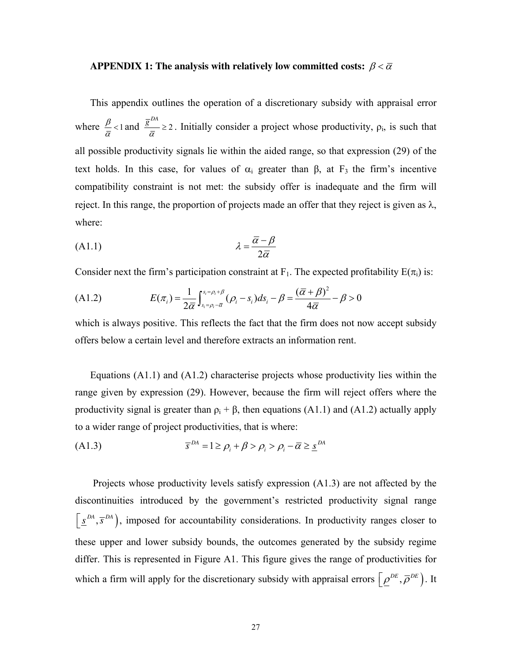## **APPENDIX 1: The analysis with relatively low committed costs:**  $\beta < \overline{\alpha}$

This appendix outlines the operation of a discretionary subsidy with appraisal error where  $\frac{\beta}{2}$  < 1  $\frac{\beta}{\overline{\alpha}}$  < 1 and  $\frac{\overline{g}^{DA}}{\overline{\alpha}} \ge 2$  $\frac{\partial}{\partial \overline{\alpha}} \geq 2$ . Initially consider a project whose productivity,  $\rho_i$ , is such that all possible productivity signals lie within the aided range, so that expression (29) of the text holds. In this case, for values of  $\alpha_i$  greater than  $\beta$ , at  $F_3$  the firm's incentive compatibility constraint is not met: the subsidy offer is inadequate and the firm will reject. In this range, the proportion of projects made an offer that they reject is given as  $\lambda$ , where:

$$
\lambda = \frac{\overline{\alpha} - \beta}{2\overline{\alpha}}
$$

Consider next the firm's participation constraint at F<sub>1</sub>. The expected profitability  $E(\pi_i)$  is:

(A1.2) 
$$
E(\pi_i) = \frac{1}{2\overline{\alpha}} \int_{s_i = \rho_i - \overline{\alpha}}^{s_i = \rho_i + \beta} (\rho_i - s_i) ds_i - \beta = \frac{(\overline{\alpha} + \beta)^2}{4\overline{\alpha}} - \beta > 0
$$

which is always positive. This reflects the fact that the firm does not now accept subsidy offers below a certain level and therefore extracts an information rent.

Equations  $(A1.1)$  and  $(A1.2)$  characterise projects whose productivity lies within the range given by expression (29). However, because the firm will reject offers where the productivity signal is greater than  $\rho_i + \beta$ , then equations (A1.1) and (A1.2) actually apply to a wider range of project productivities, that is where:

$$
(A1.3) \t\t \overline{s}^{DA} = 1 \ge \rho_i + \beta > \rho_i > \rho_i - \overline{\alpha} \ge \underline{s}^{DA}
$$

Projects whose productivity levels satisfy expression (A1.3) are not affected by the discontinuities introduced by the government's restricted productivity signal range  $\left[ \underline{s}^{DA}, \overline{s}^{DA} \right]$ , imposed for accountability considerations. In productivity ranges closer to these upper and lower subsidy bounds, the outcomes generated by the subsidy regime differ. This is represented in Figure A1. This figure gives the range of productivities for which a firm will apply for the discretionary subsidy with appraisal errors  $\left[ \rho^{DE}, \overline{\rho}^{DE} \right)$ . It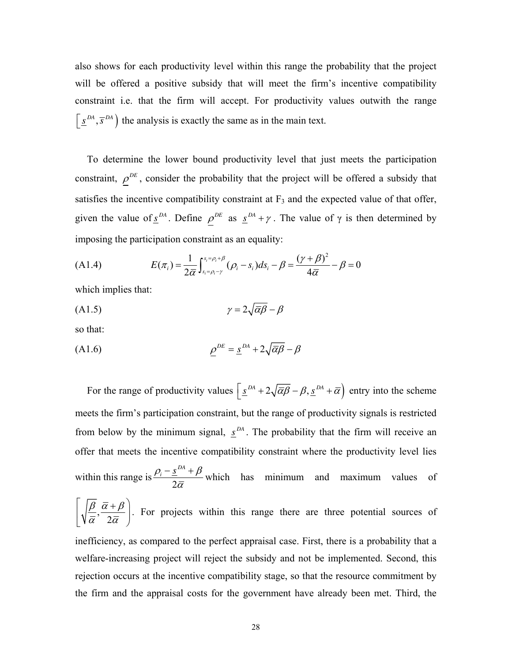also shows for each productivity level within this range the probability that the project will be offered a positive subsidy that will meet the firm's incentive compatibility constraint i.e. that the firm will accept. For productivity values outwith the range  $\left( \underline{s}^{DA}, \overline{s}^{DA} \right)$  the analysis is exactly the same as in the main text.

To determine the lower bound productivity level that just meets the participation constraint,  $\rho^{DE}$ , consider the probability that the project will be offered a subsidy that satisfies the incentive compatibility constraint at  $F_3$  and the expected value of that offer, given the value of  $S^{DA}$ . Define  $\rho^{DE}$  as  $S^{DA} + \gamma$ . The value of  $\gamma$  is then determined by imposing the participation constraint as an equality:

(A1.4) 
$$
E(\pi_i) = \frac{1}{2\bar{\alpha}} \int_{s_i = \rho_i - \gamma}^{s_i = \rho_i + \beta} (\rho_i - s_i) ds_i - \beta = \frac{(\gamma + \beta)^2}{4\bar{\alpha}} - \beta = 0
$$

which implies that:

$$
\gamma = 2\sqrt{\overline{\alpha}\beta} - \beta
$$

so that:

$$
\underline{\rho}^{DE} = \underline{s}^{DA} + 2\sqrt{\overline{\alpha}\beta} - \beta
$$

For the range of productivity values  $\underline{s}^{DA} + 2\sqrt{\overline{\alpha}\beta} - \beta$ ,  $\underline{s}^{DA} + \overline{\alpha}$  entry into the scheme meets the firm's participation constraint, but the range of productivity signals is restricted from below by the minimum signal,  $S^{DA}$ . The probability that the firm will receive an offer that meets the incentive compatibility constraint where the productivity level lies within this range is 2  $\rho_i$  – <u>s</u><sup>DA</sup> +  $\beta$  $\frac{-s^{DA} + \beta}{2\overline{\alpha}}$  which has minimum and maximum values of , 2  $\beta \ \bar{\alpha} + \beta$  $\bar{\alpha}$ ' 2 $\bar{\alpha}$  $\left[\begin{array}{cc} \overline{\beta} & \overline{\alpha} + \beta \end{array}\right]$  $\left[\sqrt{\frac{r}{\bar{\alpha}}}, \frac{\overline{\alpha} + \overline{\beta}}{2\bar{\alpha}}\right]$ . For projects within this range there are three potential sources of inefficiency, as compared to the perfect appraisal case. First, there is a probability that a welfare-increasing project will reject the subsidy and not be implemented. Second, this rejection occurs at the incentive compatibility stage, so that the resource commitment by the firm and the appraisal costs for the government have already been met. Third, the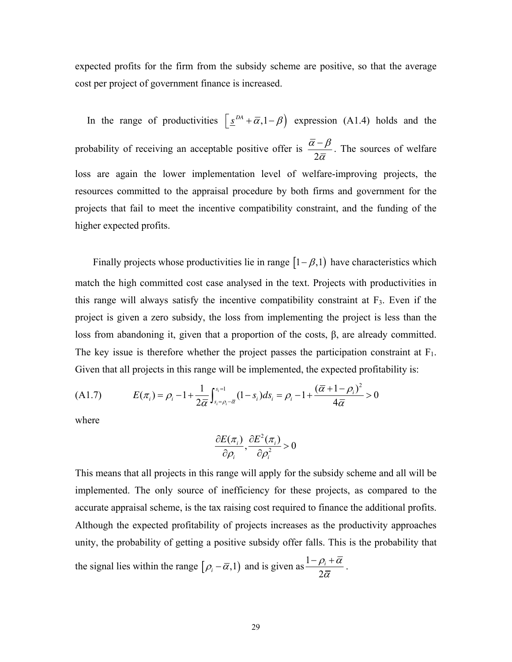expected profits for the firm from the subsidy scheme are positive, so that the average cost per project of government finance is increased.

In the range of productivities  $\left[ \underline{s}^{DA} + \overline{\alpha}, 1 - \beta \right)$  expression (A1.4) holds and the probability of receiving an acceptable positive offer is 2  $\bar{\alpha}$  –  $\beta$ α − . The sources of welfare loss are again the lower implementation level of welfare-improving projects, the resources committed to the appraisal procedure by both firms and government for the projects that fail to meet the incentive compatibility constraint, and the funding of the higher expected profits.

Finally projects whose productivities lie in range  $[1 - \beta, 1)$  have characteristics which match the high committed cost case analysed in the text. Projects with productivities in this range will always satisfy the incentive compatibility constraint at  $F_3$ . Even if the project is given a zero subsidy, the loss from implementing the project is less than the loss from abandoning it, given that a proportion of the costs,  $\beta$ , are already committed. The key issue is therefore whether the project passes the participation constraint at  $F_1$ . Given that all projects in this range will be implemented, the expected profitability is:

(A1.7) 
$$
E(\pi_i) = \rho_i - 1 + \frac{1}{2\bar{\alpha}} \int_{s_i = \rho_i - \bar{\alpha}}^{s_i = 1} (1 - s_i) ds_i = \rho_i - 1 + \frac{(\bar{\alpha} + 1 - \rho_i)^2}{4\bar{\alpha}} > 0
$$

where

$$
\frac{\partial E(\pi_i)}{\partial \rho_i}, \frac{\partial E^2(\pi_i)}{\partial \rho_i^2} > 0
$$

This means that all projects in this range will apply for the subsidy scheme and all will be implemented. The only source of inefficiency for these projects, as compared to the accurate appraisal scheme, is the tax raising cost required to finance the additional profits. Although the expected profitability of projects increases as the productivity approaches unity, the probability of getting a positive subsidy offer falls. This is the probability that  $-\rho_i +$ 

the signal lies within the range  $[\rho_i - \overline{\alpha}, 1)$  and is given as  $\frac{1-\rho}{2}$  $\rho$ <sub>*i*</sub> +  $\alpha$ α .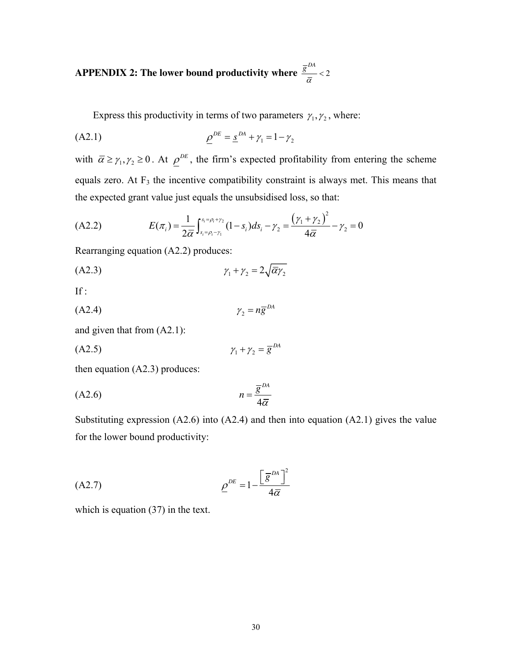## APPENDIX 2: The lower bound productivity where  $\frac{\overline{g}^{DA}}{2}$  < 2  $\frac{\overline{a}}{a}$  < 2

Express this productivity in terms of two parameters  $\gamma_1, \gamma_2$ , where:

(A2.1) 
$$
\underline{\rho}^{DE} = \underline{s}^{DA} + \gamma_1 = 1 - \gamma_2
$$

with  $\bar{\alpha} \ge \gamma_1, \gamma_2 \ge 0$ . At  $\rho^{DE}$ , the firm's expected profitability from entering the scheme equals zero. At  $F_3$  the incentive compatibility constraint is always met. This means that the expected grant value just equals the unsubsidised loss, so that:

(A2.2) 
$$
E(\pi_i) = \frac{1}{2\overline{\alpha}} \int_{s_i = \rho_i - \gamma_1}^{s_i = \rho_i + \gamma_2} (1 - s_i) ds_i - \gamma_2 = \frac{(\gamma_1 + \gamma_2)^2}{4\overline{\alpha}} - \gamma_2 = 0
$$

Rearranging equation (A2.2) produces:

$$
\gamma_1 + \gamma_2 = 2\sqrt{\overline{\alpha}\gamma_2}
$$

If :

$$
\gamma_2 = n\overline{g}^{DA}
$$

and given that from (A2.1):

$$
\gamma_1 + \gamma_2 = \overline{g}^{DA}
$$

then equation (A2.3) produces:

$$
(A2.6) \t\t n = \frac{\overline{g}^{DA}}{4\overline{\alpha}}
$$

Substituting expression (A2.6) into (A2.4) and then into equation (A2.1) gives the value for the lower bound productivity:

$$
\underline{\rho}^{DE} = 1 - \frac{\left[\overline{g}^{DA}\right]^2}{4\overline{\alpha}}
$$

which is equation (37) in the text.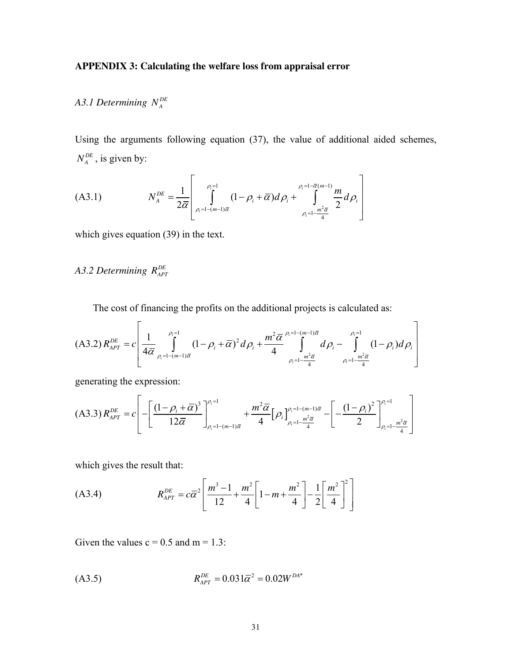## **APPENDIX 3: Calculating the welfare loss from appraisal error**

# *A3.1 Determining DE N <sup>A</sup>*

Using the arguments following equation (37), the value of additional aided schemes,  $N_A^{DE}$ , is given by:

(A3.1) 
$$
N_A^{DE} = \frac{1}{2\overline{\alpha}} \left[ \int_{\rho_i = 1 - (m-1)\overline{\alpha}}^{\rho_i = 1} (1 - \rho_i + \overline{\alpha}) d\rho_i + \int_{\rho_i = 1 - \frac{m^2 \overline{\alpha}}{4}}^{\rho_i = 1 - \overline{\alpha} (m-1)} \frac{m}{2} d\rho_i \right]
$$

which gives equation (39) in the text.

# *A3.2 Determining*  $R_{APT}^{DE}$

The cost of financing the profits on the additional projects is calculated as:

$$
(A3.2) R_{APT}^{DE} = c \left[ \frac{1}{4\overline{\alpha}} \int_{\rho_i = 1 - (m-1)\overline{\alpha}}^{\rho_i = 1} (1 - \rho_i + \overline{\alpha})^2 d\rho_i + \frac{m^2 \overline{\alpha}}{4} \int_{\rho_i = 1 - \frac{m^2 \overline{\alpha}}{4}}^{\rho_i = 1 - (m-1)\overline{\alpha}} d\rho_i - \int_{\rho_i = 1 - \frac{m^2 \overline{\alpha}}{4}}^{\rho_i = 1} (1 - \rho_i) d\rho_i \right]
$$

generating the expression:

$$
(A3.3) R_{APT}^{DE} = c \left[ -\left[ \frac{(1-\rho_i + \overline{\alpha})^3}{12\overline{\alpha}} \right]_{\rho_i=1-(m-1)\overline{\alpha}}^{\rho_i=1} + \frac{m^2 \overline{\alpha}}{4} [\rho_i]_{\rho_i=1-\frac{m^2 \overline{\alpha}}{4}}^{\rho_i=1-(m-1)\overline{\alpha}} - \left[ -\frac{(1-\rho_i)^2}{2} \right]_{\rho_i=1-\frac{m^2 \overline{\alpha}}{4}}^{\rho_i=1} \right]
$$

which gives the result that:

(A3.4) 
$$
R_{APT}^{DE} = c\overline{\alpha}^2 \left[ \frac{m^3 - 1}{12} + \frac{m^2}{4} \left[ 1 - m + \frac{m^2}{4} \right] - \frac{1}{2} \left[ \frac{m^2}{4} \right]^2 \right]
$$

Given the values  $c = 0.5$  and  $m = 1.3$ :

$$
(A3.5) \t\t R_{APT}^{DE} = 0.031\overline{\alpha}^2 = 0.02W^{DA*}
$$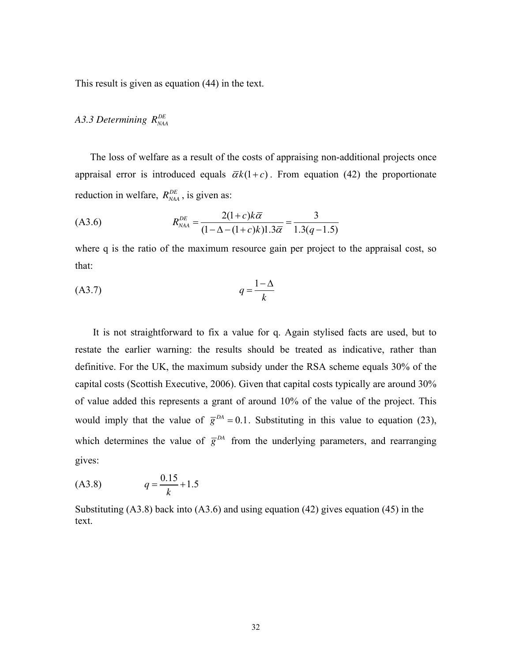This result is given as equation (44) in the text.

## *A3.3 Determining DE RNAA*

The loss of welfare as a result of the costs of appraising non-additional projects once appraisal error is introduced equals  $\bar{\alpha}k(1+c)$ . From equation (42) the proportionate reduction in welfare,  $R_{NAA}^{DE}$ , is given as:

$$
(A3.6) \t R_{\text{NAA}}^{DE} = \frac{2(1+c)k\overline{\alpha}}{(1-\Delta-(1+c)k)1.3\overline{\alpha}} = \frac{3}{1.3(q-1.5)}
$$

where q is the ratio of the maximum resource gain per project to the appraisal cost, so that:

$$
(A3.7) \t\t q = \frac{1-\Delta}{k}
$$

It is not straightforward to fix a value for q. Again stylised facts are used, but to restate the earlier warning: the results should be treated as indicative, rather than definitive. For the UK, the maximum subsidy under the RSA scheme equals 30% of the capital costs (Scottish Executive, 2006). Given that capital costs typically are around 30% of value added this represents a grant of around 10% of the value of the project. This would imply that the value of  $\bar{g}^{DA} = 0.1$ . Substituting in this value to equation (23), which determines the value of  $\bar{g}^{DA}$  from the underlying parameters, and rearranging gives:

$$
(A3.8) \tq = \frac{0.15}{k} + 1.5
$$

Substituting (A3.8) back into (A3.6) and using equation (42) gives equation (45) in the text.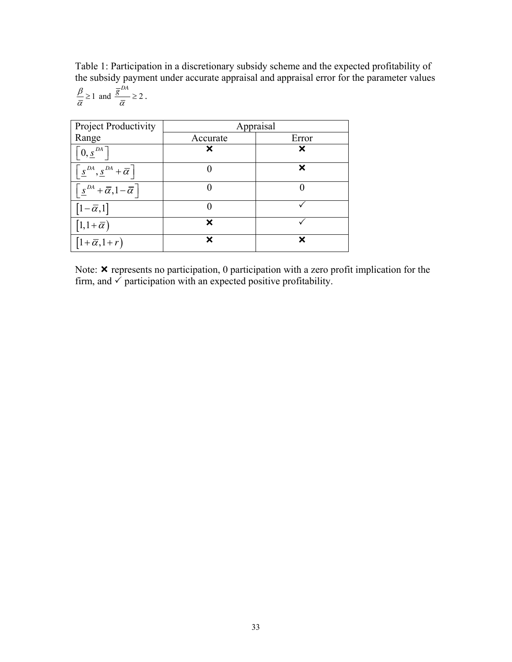Table 1: Participation in a discretionary subsidy scheme and the expected profitability of the subsidy payment under accurate appraisal and appraisal error for the parameter values

$$
\frac{\beta}{\overline{\alpha}} \ge 1 \text{ and } \frac{\overline{g}^{DA}}{\overline{\alpha}} \ge 2.
$$

| <b>Project Productivity</b>                                                                   | Appraisal |       |
|-----------------------------------------------------------------------------------------------|-----------|-------|
| Range                                                                                         | Accurate  | Error |
| $ 0, \underline{s}^{DA} $                                                                     | ×         | X     |
| $\left[\underline{s}^{DA}, \underline{s}^{DA} + \overline{\alpha}\right]$                     |           | ×     |
| $\left[\frac{\underline{s}}{\underline{s}}^{DA}+\overline{\alpha},1-\overline{\alpha}\right]$ |           |       |
| $[1-\overline{\alpha},1]$                                                                     |           |       |
| $[1, 1+\overline{\alpha})$                                                                    | ¥         |       |
| $\left[1+\overline{\alpha},1+r\right)$                                                        | ×         | X     |

Note:  $\boldsymbol{\times}$  represents no participation, 0 participation with a zero profit implication for the firm, and  $\checkmark$  participation with an expected positive profitability.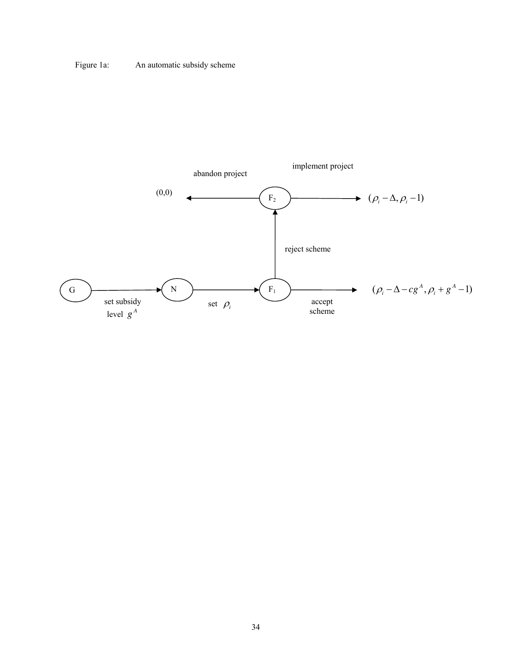## Figure 1a: An automatic subsidy scheme

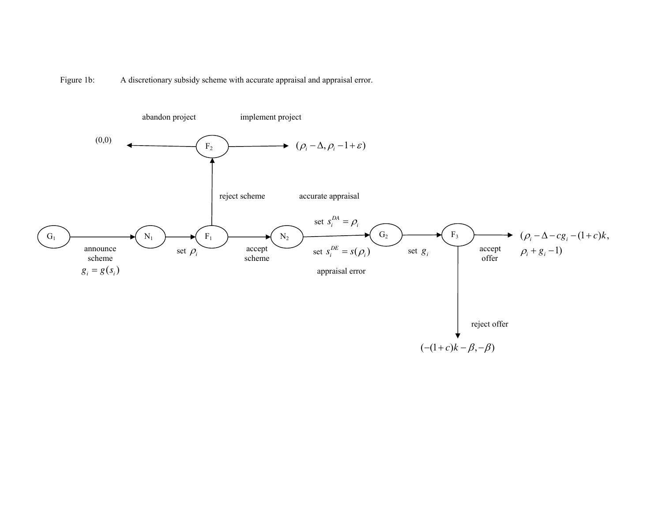Figure 1b: A discretionary subsidy scheme with accurate appraisal and appraisal error.

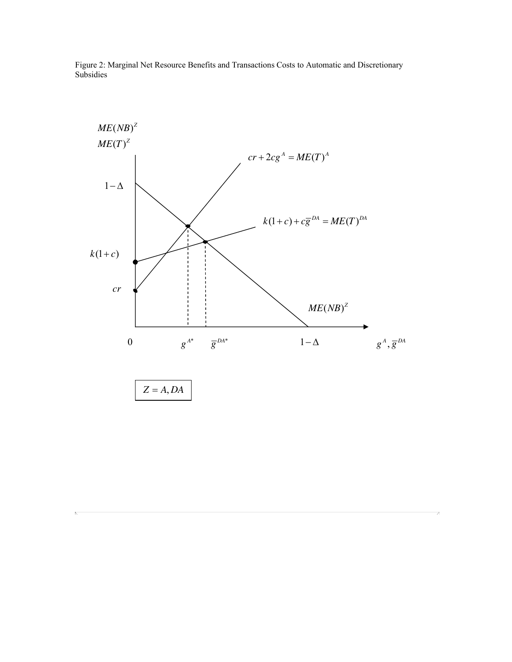Figure 2: Marginal Net Resource Benefits and Transactions Costs to Automatic and Discretionary Subsidies



 $\overline{N}$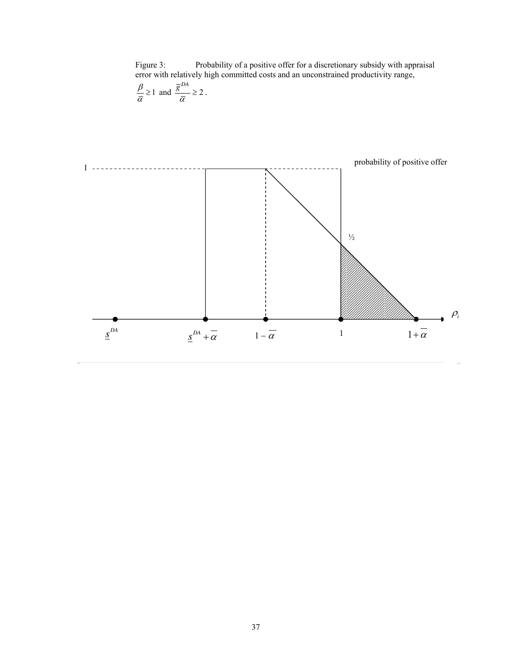Figure 3: Probability of a positive offer for a discretionary subsidy with appraisal error with relatively high committed costs and an unconstrained productivity range,

$$
\frac{\beta}{\overline{\alpha}} \ge 1 \text{ and } \frac{\overline{g}^{DA}}{\overline{\alpha}} \ge 2.
$$

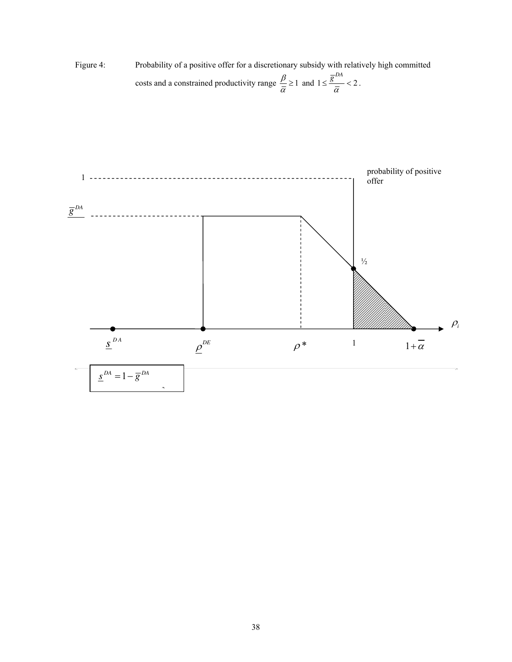Figure 4: Probability of a positive offer for a discretionary subsidy with relatively high committed costs and a constrained productivity range  $\frac{\beta}{\alpha} \geq 1$  $\frac{P}{\overline{\alpha}} \geq 1$  and  $1 \leq \frac{5}{\overline{\alpha}} < 2$ .  $\bar{g}^{DA}$  $\leq \frac{5}{\overline{\alpha}} < 2$ .

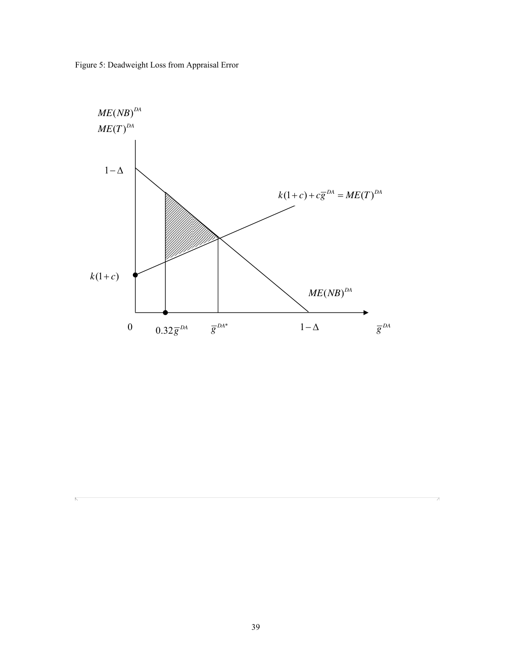Figure 5: Deadweight Loss from Appraisal Error

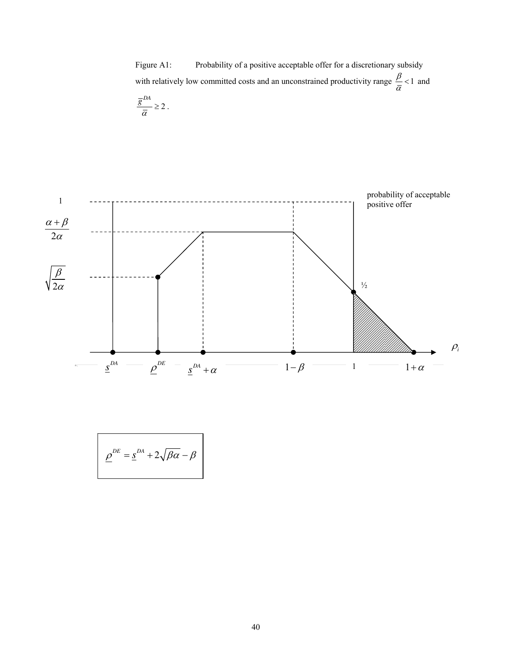Figure A1: Probability of a positive acceptable offer for a discretionary subsidy with relatively low committed costs and an unconstrained productivity range  $\frac{\beta}{\alpha}$  < 1  $\frac{\overline{p}}{\overline{\alpha}}$  < 1 and

$$
\frac{\overline{g}^{DA}}{\overline{\alpha}} \geq 2.
$$



$$
\underline{\rho}^{DE} = \underline{s}^{DA} + 2\sqrt{\beta \alpha} - \beta
$$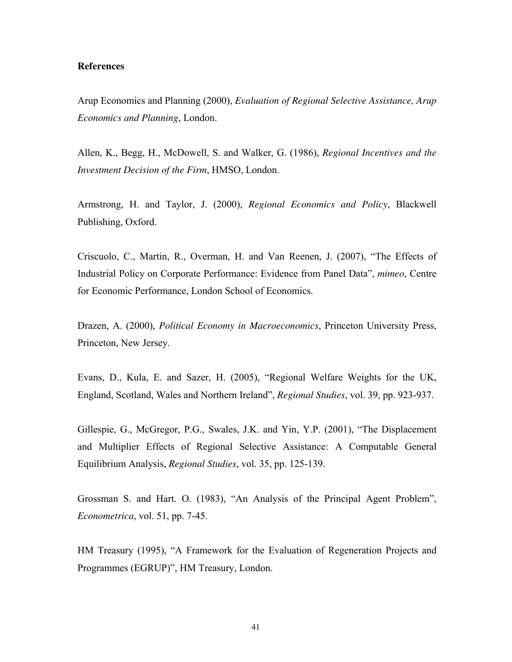## **References**

Arup Economics and Planning (2000), *Evaluation of Regional Selective Assistance, Arup Economics and Planning*, London.

Allen, K., Begg, H., McDowell, S. and Walker, G. (1986), *Regional Incentives and the Investment Decision of the Firm*, HMSO, London.

Armstrong, H. and Taylor, J. (2000), *Regional Economics and Policy*, Blackwell Publishing, Oxford.

Criscuolo, C., Martin, R., Overman, H. and Van Reenen, J. (2007), "The Effects of Industrial Policy on Corporate Performance: Evidence from Panel Dataî, *mimeo*, Centre for Economic Performance, London School of Economics.

Drazen, A. (2000), *Political Economy in Macroeconomics*, Princeton University Press, Princeton, New Jersey.

Evans, D., Kula, E. and Sazer, H.  $(2005)$ , "Regional Welfare Weights for the UK, England, Scotland, Wales and Northern Irelandî, *Regional Studies*, vol. 39, pp. 923-937.

Gillespie, G., McGregor, P.G., Swales, J.K. and Yin, Y.P.  $(2001)$ , "The Displacement and Multiplier Effects of Regional Selective Assistance: A Computable General Equilibrium Analysis, *Regional Studies*, vol. 35, pp. 125-139.

Grossman S. and Hart. O. (1983), "An Analysis of the Principal Agent Problem", *Econometrica*, vol. 51, pp. 7-45.

HM Treasury (1995), "A Framework for the Evaluation of Regeneration Projects and Programmes (EGRUP)", HM Treasury, London.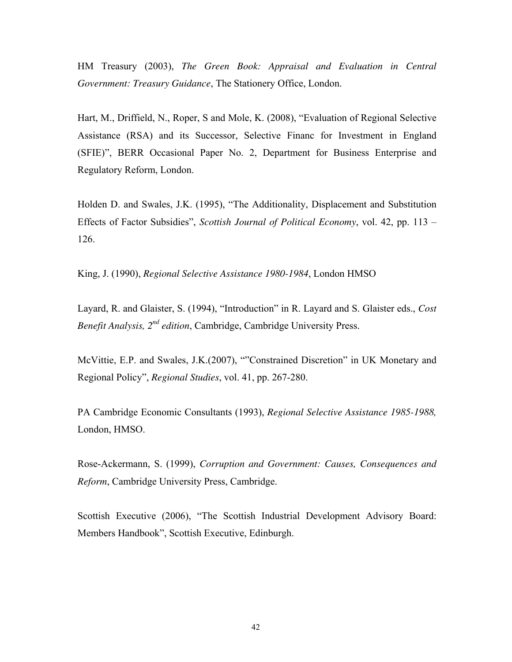HM Treasury (2003), *The Green Book: Appraisal and Evaluation in Central Government: Treasury Guidance*, The Stationery Office, London.

Hart, M., Driffield, N., Roper, S and Mole, K. (2008), "Evaluation of Regional Selective Assistance (RSA) and its Successor, Selective Financ for Investment in England (SFIE)", BERR Occasional Paper No. 2, Department for Business Enterprise and Regulatory Reform, London.

Holden D. and Swales, J.K. (1995), "The Additionality, Displacement and Substitution Effects of Factor Subsidies", *Scottish Journal of Political Economy*, vol. 42, pp. 113 – 126.

King, J. (1990), *Regional Selective Assistance 1980-1984*, London HMSO

Layard, R. and Glaister, S. (1994), "Introduction" in R. Layard and S. Glaister eds., *Cost Benefit Analysis, 2nd edition*, Cambridge, Cambridge University Press.

McVittie, E.P. and Swales, J.K.(2007), ""Constrained Discretion" in UK Monetary and Regional Policyî, *Regional Studies*, vol. 41, pp. 267-280.

PA Cambridge Economic Consultants (1993), *Regional Selective Assistance 1985-1988,*  London, HMSO.

Rose-Ackermann, S. (1999), *Corruption and Government: Causes, Consequences and Reform*, Cambridge University Press, Cambridge.

Scottish Executive (2006), "The Scottish Industrial Development Advisory Board: Members Handbook", Scottish Executive, Edinburgh.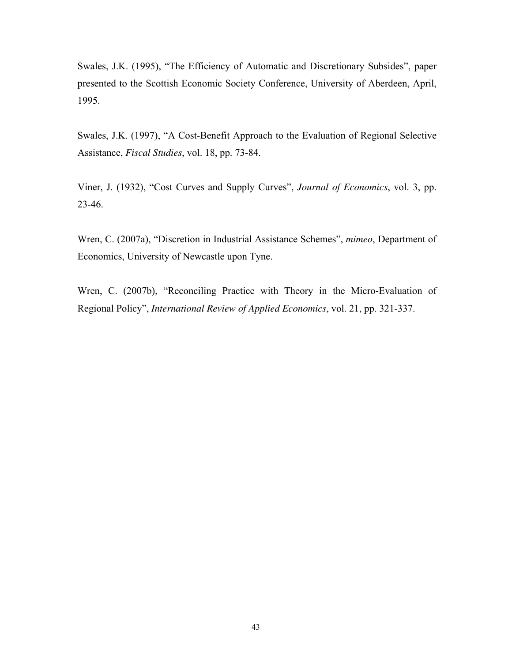<span id="page-41-1"></span><span id="page-41-0"></span>Swales, J.K. (1995), "The Efficiency of Automatic and Discretionary Subsides", paper presented to the Scottish Economic Society Conference, University of Aberdeen, April, 1995.

Swales, J.K. (1997), "A Cost-Benefit Approach to the Evaluation of Regional Selective Assistance, *Fiscal Studies*, vol. 18, pp. 73-84.

Viner, J. (1932), "Cost Curves and Supply Curves", *Journal of Economics*, vol. 3, pp. 23-46.

Wren, C. (2007a), "Discretion in Industrial Assistance Schemes", *mimeo*, Department of Economics, University of Newcastle upon Tyne.

Wren, C. (2007b), "Reconciling Practice with Theory in the Micro-Evaluation of Regional Policyî, *International Review of Applied Economics*, vol. 21, pp. 321-337.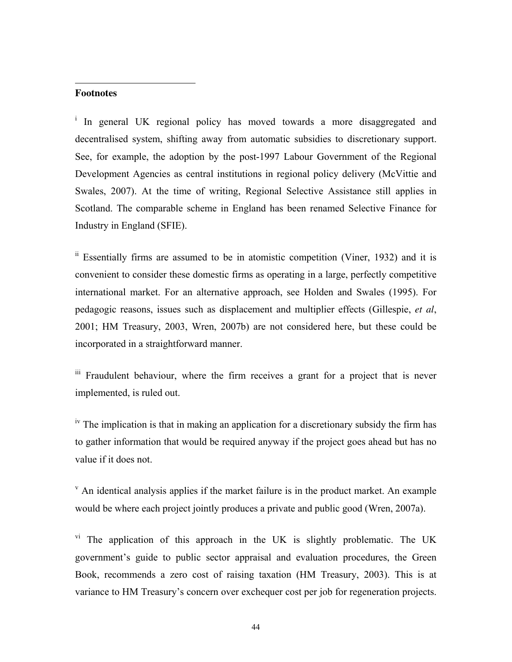### **Footnotes**

<span id="page-42-0"></span>j

<sup>i</sup> In general UK regional policy has moved towards a more disaggregated and decentralised system, shifting away from automatic subsidies to discretionary support. See, for example, the adoption by the post-1997 Labour Government of the Regional Development Agencies as central institutions in regional policy delivery (McVittie and Swales, 2007). At the time of writing, Regional Selective Assistance still applies in Scotland. The comparable scheme in England has been renamed Selective Finance for Industry in England (SFIE).

 $\overline{a}$  Essentially firms are assumed to be in atomistic competition (Viner, 1932) and it is convenient to consider these domestic firms as operating in a large, perfectly competitive international market. For an alternative approach, see Holden and Swales (1995). For pedagogic reasons, issues such as displacement and multiplier effects (Gillespie, *et al*, 2001; HM Treasury, 2003, Wren, 2007b) are not considered here, but these could be incorporated in a straightforward manner.

iii Fraudulent behaviour, where the firm receives a grant for a project that is never implemented, is ruled out.

<sup>iv</sup> The implication is that in making an application for a discretionary subsidy the firm has to gather information that would be required anyway if the project goes ahead but has no value if it does not.

 $\mathbf v$  An identical analysis applies if the market failure is in the product market. An example would be where each project jointly produces a private and public good (Wren, 2007a).

<sup>vi</sup> The application of this approach in the UK is slightly problematic. The UK government's guide to public sector appraisal and evaluation procedures, the Green Book, recommends a zero cost of raising taxation (HM Treasury, 2003). This is at variance to HM Treasury's concern over exchequer cost per job for regeneration projects.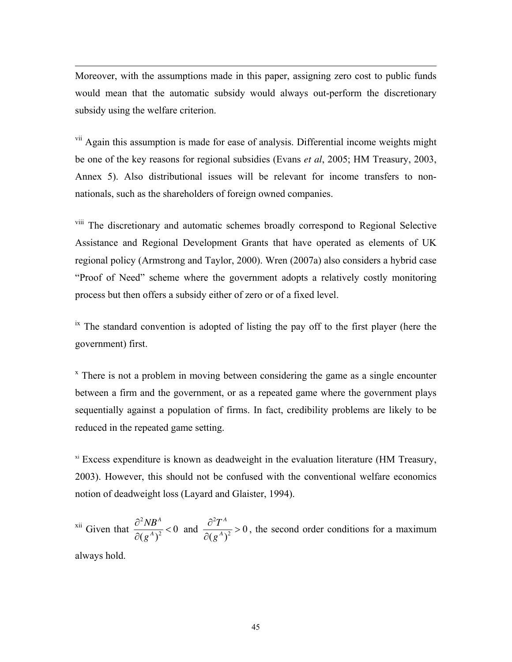Moreover, with the assumptions made in this paper, assigning zero cost to public funds would mean that the automatic subsidy would always out-perform the discretionary subsidy using the welfare criterion.

<sup>vii</sup> Again this assumption is made for ease of analysis. Differential income weights might be one of the key reasons for regional subsidies (Evans *et al*, 2005; HM Treasury, 2003, Annex 5). Also distributional issues will be relevant for income transfers to nonnationals, such as the shareholders of foreign owned companies.

viii The discretionary and automatic schemes broadly correspond to Regional Selective Assistance and Regional Development Grants that have operated as elements of UK regional policy (Armstrong and Taylor, 2000). Wren (2007a) also considers a hybrid case ìProof of Needî scheme where the government adopts a relatively costly monitoring process but then offers a subsidy either of zero or of a fixed level.

 $\mu$ <sup>ix</sup> The standard convention is adopted of listing the pay off to the first player (here the government) first.

<sup>x</sup> There is not a problem in moving between considering the game as a single encounter between a firm and the government, or as a repeated game where the government plays sequentially against a population of firms. In fact, credibility problems are likely to be reduced in the repeated game setting.

x<sup>i</sup> Excess expenditure is known as deadweight in the evaluation literature (HM Treasury, 2003). However, this should not be confused with the conventional welfare economics notion of deadweight loss (Layard and Glaister, 1994).

<sup>xii</sup> Given that  $\frac{\partial^2}{\partial x^2}$  $\frac{1}{2}$  < 0  $(g^A)^2$ *A A NB g*  $\frac{\partial^2 NB^A}{\partial \left(1\right)^2}$ ∂ and 2  $\frac{1}{2} > 0$  $(g^A)^2$ *A A T g*  $\frac{\partial^2 T^A}{\partial x^2}$ ∂ , the second order conditions for a maximum

always hold.

<span id="page-43-0"></span>-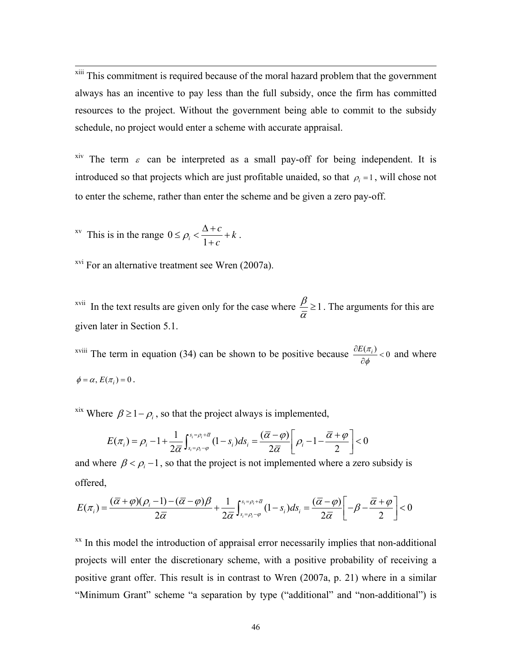<span id="page-44-0"></span><sup>xiii</sup> This commitment is required because of the moral hazard problem that the government always has an incentive to pay less than the full subsidy, once the firm has committed resources to the project. Without the government being able to commit to the subsidy schedule, no project would enter a scheme with accurate appraisal.

<sup>xiv</sup> The term  $\varepsilon$  can be interpreted as a small pay-off for being independent. It is introduced so that projects which are just profitable unaided, so that  $\rho_i = 1$ , will chose not to enter the scheme, rather than enter the scheme and be given a zero pay-off.

 $xv$  This is in the range 0 <sup>*i*</sup> 1 *c k*  $\leq \rho_i < \frac{\Delta + c}{1 + c} +$ + .

-

<sup>xvi</sup> For an alternative treatment see Wren (2007a).

<sup>xvii</sup> In the text results are given only for the case where  $\frac{\beta}{\alpha} \ge 1$  $\frac{\rho}{\overline{\alpha}} \ge 1$ . The arguments for this are given later in Section 5.1.

<sup>xviii</sup> The term in equation (34) can be shown to be positive because  $\frac{\partial E(\pi_i)}{\partial x_i}$  < 0 φ  $\frac{\partial E(\pi_i)}{\partial \phi}$  < 0 and where  $\phi = \alpha, E(\pi_i) = 0$ .

<sup>xix</sup> Where  $\beta \geq 1 - \rho_i$ , so that the project always is implemented,

$$
E(\pi_i) = \rho_i - 1 + \frac{1}{2\overline{\alpha}} \int_{s_i = \rho_i - \varphi}^{s_i = \rho_i + \overline{\alpha}} (1 - s_i) ds_i = \frac{(\overline{\alpha} - \varphi)}{2\overline{\alpha}} \left[ \rho_i - 1 - \frac{\overline{\alpha} + \varphi}{2} \right] < 0
$$

and where  $\beta < \rho_i - 1$ , so that the project is not implemented where a zero subsidy is offered,

$$
E(\pi_i) = \frac{(\overline{\alpha} + \varphi)(\rho_i - 1) - (\overline{\alpha} - \varphi)\beta}{2\overline{\alpha}} + \frac{1}{2\overline{\alpha}} \int_{s_i = \rho_i - \varphi}^{s_i = \rho_i + \overline{\alpha}} (1 - s_i) ds_i = \frac{(\overline{\alpha} - \varphi)}{2\overline{\alpha}} \left[ -\beta - \frac{\overline{\alpha} + \varphi}{2} \right] < 0
$$

 $\frac{xx}{x}$  In this model the introduction of appraisal error necessarily implies that non-additional projects will enter the discretionary scheme, with a positive probability of receiving a positive grant offer. This result is in contrast to Wren (2007a, p. 21) where in a similar "Minimum Grant" scheme "a separation by type ("additional" and "non-additional") is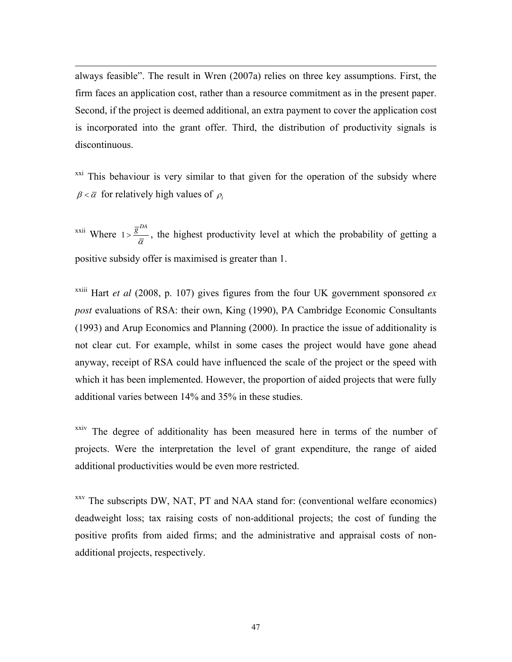always feasible". The result in Wren (2007a) relies on three key assumptions. First, the firm faces an application cost, rather than a resource commitment as in the present paper. Second, if the project is deemed additional, an extra payment to cover the application cost is incorporated into the grant offer. Third, the distribution of productivity signals is discontinuous.

<span id="page-45-0"></span>-

<sup>xxi</sup> This behaviour is very similar to that given for the operation of the subsidy where  $\beta < \overline{\alpha}$  for relatively high values of  $\rho_i$ 

<sup>xxii</sup> Where  $1 > \frac{\overline{g}^{DA}}{2}$  $>\frac{g}{\overline{\alpha}}$ , the highest productivity level at which the probability of getting a positive subsidy offer is maximised is greater than 1.

<sup>xxiii</sup> Hart *et al* (2008, p. 107) gives figures from the four UK government sponsored  $ex$ *post* evaluations of RSA: their own, King (1990), PA Cambridge Economic Consultants (1993) and Arup Economics and Planning (2000). In practice the issue of additionality is not clear cut. For example, whilst in some cases the project would have gone ahead anyway, receipt of RSA could have influenced the scale of the project or the speed with which it has been implemented. However, the proportion of aided projects that were fully additional varies between 14% and 35% in these studies.

xxiv The degree of additionality has been measured here in terms of the number of projects. Were the interpretation the level of grant expenditure, the range of aided additional productivities would be even more restricted.

xxv The subscripts DW, NAT, PT and NAA stand for: (conventional welfare economics) deadweight loss; tax raising costs of non-additional projects; the cost of funding the positive profits from aided firms; and the administrative and appraisal costs of nonadditional projects, respectively.